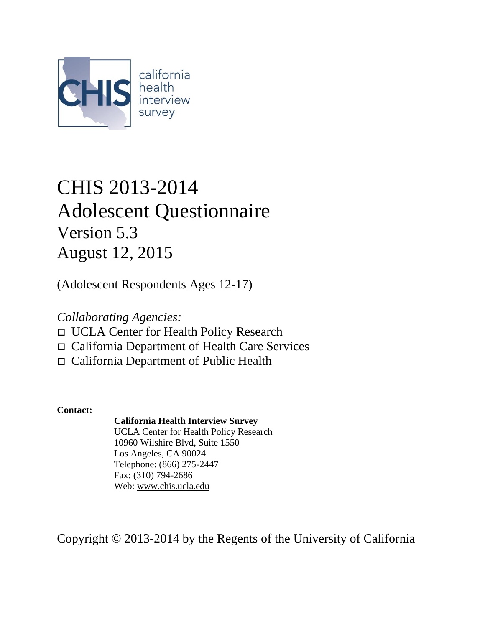

# CHIS 2013-2014 Adolescent Questionnaire Version 5.3 August 12, 2015

(Adolescent Respondents Ages 12-17)

*Collaborating Agencies:*

- UCLA Center for Health Policy Research
- California Department of Health Care Services
- California Department of Public Health

**Contact:**

## **California Health Interview Survey**

UCLA Center for Health Policy Research 10960 Wilshire Blvd, Suite 1550 Los Angeles, CA 90024 Telephone: (866) 275-2447 Fax: (310) 794-2686 Web: [www.chis.ucla.edu](http://www.chis.ucla.edu/)

Copyright © 2013-2014 by the Regents of the University of California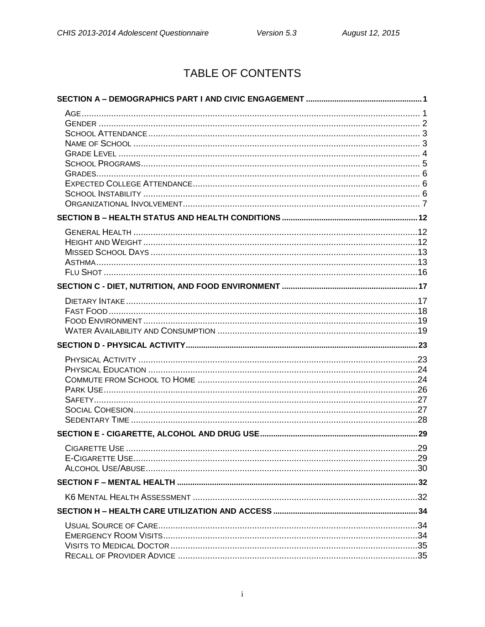# TABLE OF CONTENTS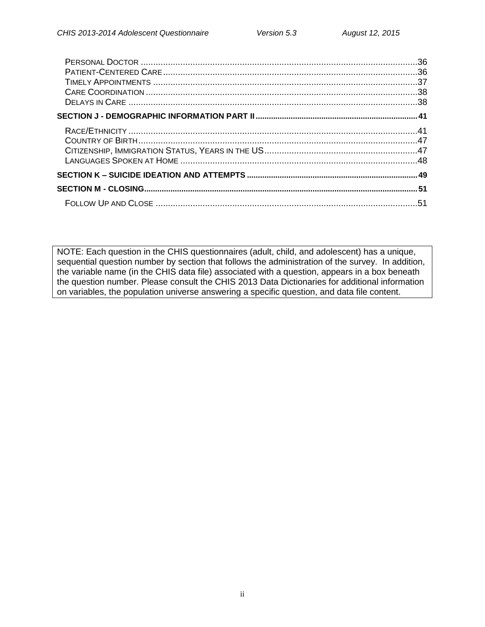NOTE: Each question in the CHIS questionnaires (adult, child, and adolescent) has a unique, sequential question number by section that follows the administration of the survey. In addition, the variable name (in the CHIS data file) associated with a question, appears in a box beneath the question number. Please consult the CHIS 2013 Data Dictionaries for additional information on variables, the population universe answering a specific question, and data file content.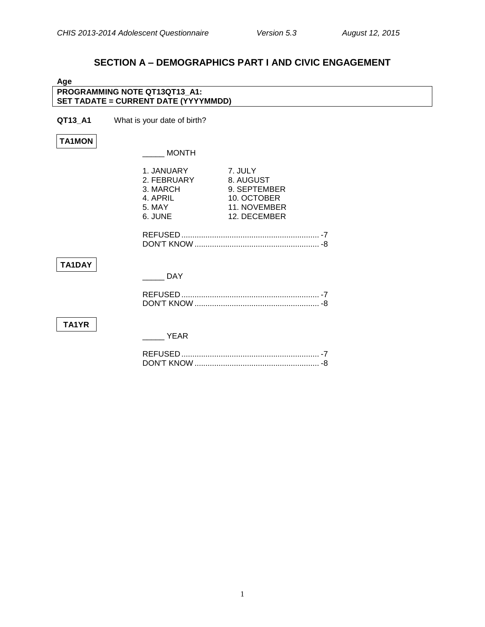## **SECTION A – DEMOGRAPHICS PART I AND CIVIC ENGAGEMENT**

<span id="page-3-1"></span><span id="page-3-0"></span>

| PROGRAMMING NOTE QT13QT13 A1:<br>SET TADATE = CURRENT DATE (YYYYMMDD)<br>QT13_A1<br>What is your date of birth?<br><b>TA1MON</b><br><b>MONTH</b>              |  |
|---------------------------------------------------------------------------------------------------------------------------------------------------------------|--|
|                                                                                                                                                               |  |
|                                                                                                                                                               |  |
|                                                                                                                                                               |  |
|                                                                                                                                                               |  |
|                                                                                                                                                               |  |
| 7. JULY<br>1. JANUARY<br>2. FEBRUARY<br>8. AUGUST<br>9. SEPTEMBER<br>3. MARCH<br>10. OCTOBER<br>4. APRIL<br>11. NOVEMBER<br>5. MAY<br>6. JUNE<br>12. DECEMBER |  |
| TA1DAY<br><b>DAY</b>                                                                                                                                          |  |
| TA1YR<br><b>YEAR</b>                                                                                                                                          |  |

DON'T KNOW ......................................................... -8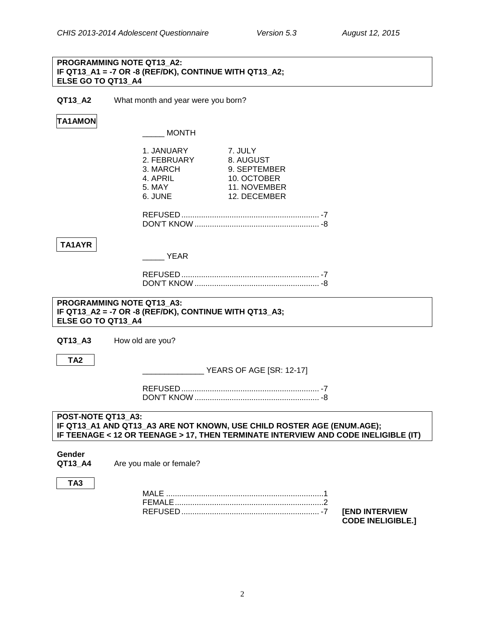## **PROGRAMMING NOTE QT13\_A2: IF QT13\_A1 = -7 OR -8 (REF/DK), CONTINUE WITH QT13\_A2; ELSE GO TO QT13\_A4**

**QT13\_A2** What month and year were you born?

## **TA1AMON**

\_\_\_\_\_ MONTH

|                    | 1. JANUARY<br>2. FEBRUARY<br>3. MARCH<br>4. APRIL<br>5. MAY<br>6. JUNE                                    | 7. JULY<br>8. AUGUST<br>9. SEPTEMBER<br>10. OCTOBER<br>11. NOVEMBER<br>12. DECEMBER |                                                                                    |
|--------------------|-----------------------------------------------------------------------------------------------------------|-------------------------------------------------------------------------------------|------------------------------------------------------------------------------------|
|                    |                                                                                                           |                                                                                     |                                                                                    |
| TA1AYR             | <b>EXAMPLE YEAR</b>                                                                                       |                                                                                     |                                                                                    |
|                    |                                                                                                           |                                                                                     |                                                                                    |
|                    | PROGRAMMING NOTE QT13 A3:<br>IF QT13_A2 = -7 OR -8 (REF/DK), CONTINUE WITH QT13_A3;<br>ELSE GO TO QT13 A4 |                                                                                     |                                                                                    |
| QT13 A3            | How old are you?                                                                                          |                                                                                     |                                                                                    |
| TA <sub>2</sub>    |                                                                                                           |                                                                                     |                                                                                    |
|                    |                                                                                                           |                                                                                     |                                                                                    |
| POST-NOTE QT13 A3: |                                                                                                           | IF QT13_A1 AND QT13_A3 ARE NOT KNOWN, USE CHILD ROSTER AGE (ENUM.AGE);              | IF TEENAGE < 12 OR TEENAGE > 17, THEN TERMINATE INTERVIEW AND CODE INELIGIBLE (IT) |
| Gender<br>QT13 A4  | Are you male or female?                                                                                   |                                                                                     |                                                                                    |
| TA <sub>3</sub>    |                                                                                                           |                                                                                     |                                                                                    |

<span id="page-4-0"></span>REFUSED ............................................................... -7 **[END INTERVIEW** 

**CODE INELIGIBLE.]**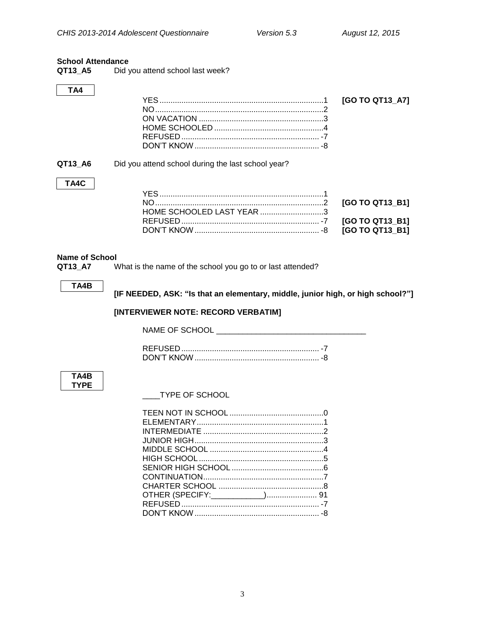## <span id="page-5-0"></span>**School Attendance**

| QT13_A5 | Did you attend school last week? |
|---------|----------------------------------|
|---------|----------------------------------|

## TA4

| HOME SCHOOLED 4 |  |
|-----------------|--|
|                 |  |
|                 |  |

QT13\_A6 Did you attend school during the last school year?

## TA4C

| HOME SCHOOLED LAST YEAR 3 |  |
|---------------------------|--|
|                           |  |
|                           |  |

## <span id="page-5-1"></span>**Name of School**

What is the name of the school you go to or last attended? QT13\_A7

## TA4B

[IF NEEDED, ASK: "Is that an elementary, middle, junior high, or high school?"]

## [INTERVIEWER NOTE: RECORD VERBATIM]

## TA4B **TYPE**

TYPE OF SCHOOL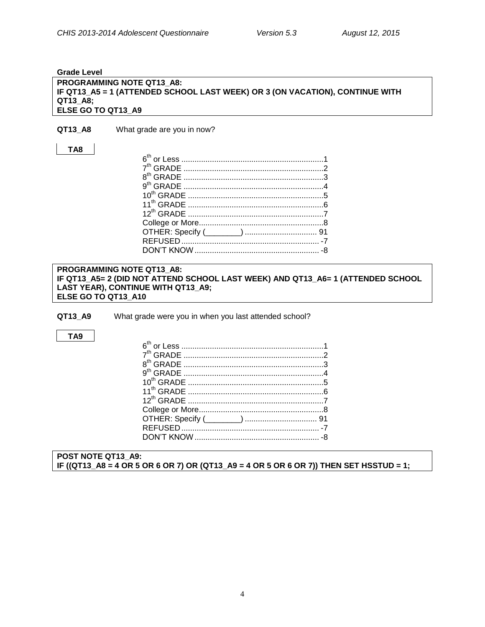#### <span id="page-6-0"></span>**Grade Level**

## **PROGRAMMING NOTE QT13\_A8: IF QT13\_A5 = 1 (ATTENDED SCHOOL LAST WEEK) OR 3 (ON VACATION), CONTINUE WITH QT13\_A8; ELSE GO TO QT13\_A9**

**QT13\_A8** What grade are you in now?

## **TA8**

## **PROGRAMMING NOTE QT13\_A8: IF QT13\_A5= 2 (DID NOT ATTEND SCHOOL LAST WEEK) AND QT13\_A6= 1 (ATTENDED SCHOOL LAST YEAR), CONTINUE WITH QT13\_A9; ELSE GO TO QT13\_A10**

**QT13\_A9** What grade were you in when you last attended school?

## **TA9**

**POST NOTE QT13\_A9: IF ((QT13\_A8 = 4 OR 5 OR 6 OR 7) OR (QT13\_A9 = 4 OR 5 OR 6 OR 7)) THEN SET HSSTUD = 1;**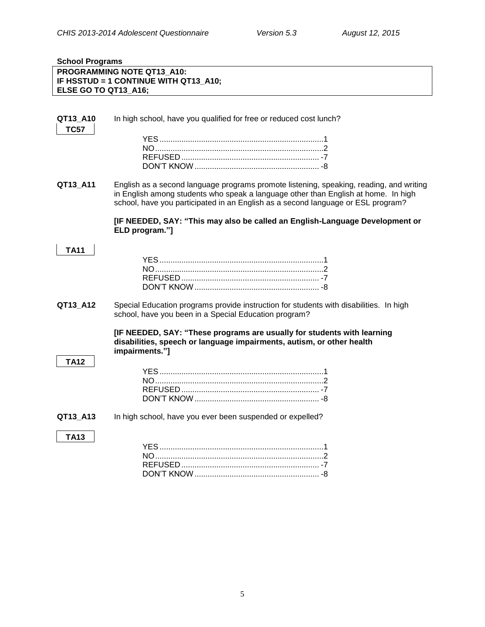## <span id="page-7-0"></span>**School Programs PROGRAMMING NOTE QT13\_A10: IF HSSTUD = 1 CONTINUE WITH QT13\_A10; ELSE GO TO QT13\_A16;**

<span id="page-7-1"></span>

| QT13 A10<br><b>TC57</b> | In high school, have you qualified for free or reduced cost lunch?                                                                                                                                                                                                |
|-------------------------|-------------------------------------------------------------------------------------------------------------------------------------------------------------------------------------------------------------------------------------------------------------------|
|                         |                                                                                                                                                                                                                                                                   |
| QT13_A11                | English as a second language programs promote listening, speaking, reading, and writing<br>in English among students who speak a language other than English at home. In high<br>school, have you participated in an English as a second language or ESL program? |
|                         | [IF NEEDED, SAY: "This may also be called an English-Language Development or<br>ELD program."]                                                                                                                                                                    |
| <b>TA11</b>             |                                                                                                                                                                                                                                                                   |
|                         |                                                                                                                                                                                                                                                                   |
| QT13_A12                | Special Education programs provide instruction for students with disabilities. In high<br>school, have you been in a Special Education program?                                                                                                                   |
|                         | [IF NEEDED, SAY: "These programs are usually for students with learning<br>disabilities, speech or language impairments, autism, or other health<br>impairments."]                                                                                                |
| <b>TA12</b>             |                                                                                                                                                                                                                                                                   |
| QT13 A13                | In high school, have you ever been suspended or expelled?                                                                                                                                                                                                         |
| <b>TA13</b>             |                                                                                                                                                                                                                                                                   |
|                         |                                                                                                                                                                                                                                                                   |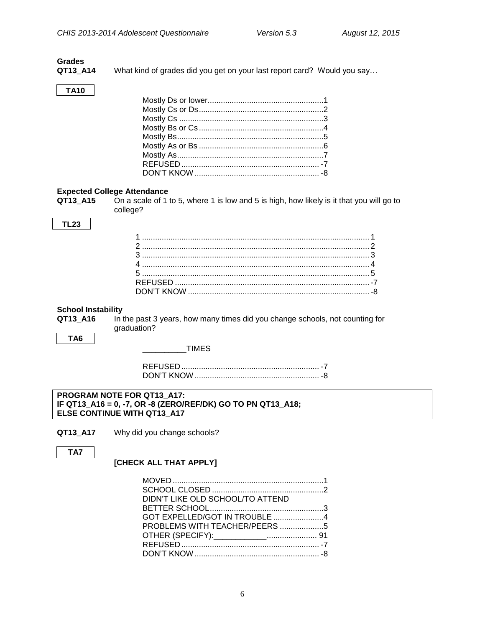## **Grades** QT13\_A14

What kind of grades did you get on your last report card? Would you say...

## **TA10**

## <span id="page-8-0"></span>**Expected College Attendance**

QT13 A15 On a scale of 1 to 5, where 1 is low and 5 is high, how likely is it that you will go to college?

## **TL23**

## <span id="page-8-1"></span>**School Instability**

QT13\_A16

In the past 3 years, how many times did you change schools, not counting for graduation?

TA<sub>6</sub>

#### **TIMES**

#### PROGRAM NOTE FOR QT13 A17: IF QT13\_A16 = 0, -7, OR -8 (ZERO/REF/DK) GO TO PN QT13\_A18; ELSE CONTINUE WITH QT13\_A17

QT13\_A17 Why did you change schools?

TA7

## [CHECK ALL THAT APPLY]

| DIDN'T LIKE OLD SCHOOL/TO ATTEND |  |
|----------------------------------|--|
|                                  |  |
|                                  |  |
| PROBLEMS WITH TEACHER/PEERS 5    |  |
|                                  |  |
|                                  |  |
|                                  |  |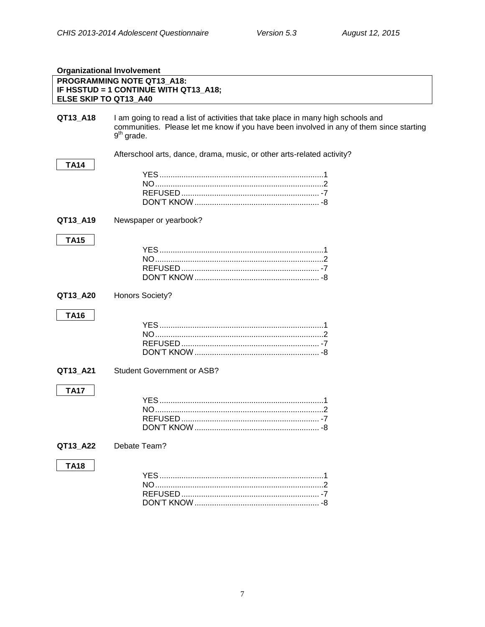<span id="page-9-0"></span>

| <b>Organizational Involvement</b> |                                                                                                                                                                                             |
|-----------------------------------|---------------------------------------------------------------------------------------------------------------------------------------------------------------------------------------------|
| ELSE SKIP TO QT13_A40             | PROGRAMMING NOTE QT13_A18:<br>IF HSSTUD = 1 CONTINUE WITH QT13 A18;                                                                                                                         |
| QT13_A18                          | I am going to read a list of activities that take place in many high schools and<br>communities. Please let me know if you have been involved in any of them since starting<br>$9th$ grade. |
| <b>TA14</b>                       | Afterschool arts, dance, drama, music, or other arts-related activity?                                                                                                                      |
| QT13_A19                          | Newspaper or yearbook?                                                                                                                                                                      |
| <b>TA15</b>                       |                                                                                                                                                                                             |
| QT13 A20                          | <b>Honors Society?</b>                                                                                                                                                                      |
| <b>TA16</b>                       |                                                                                                                                                                                             |
| QT13_A21                          | <b>Student Government or ASB?</b>                                                                                                                                                           |
| <b>TA17</b>                       |                                                                                                                                                                                             |
| QT13_A22                          | Debate Team?                                                                                                                                                                                |
| <b>TA18</b>                       |                                                                                                                                                                                             |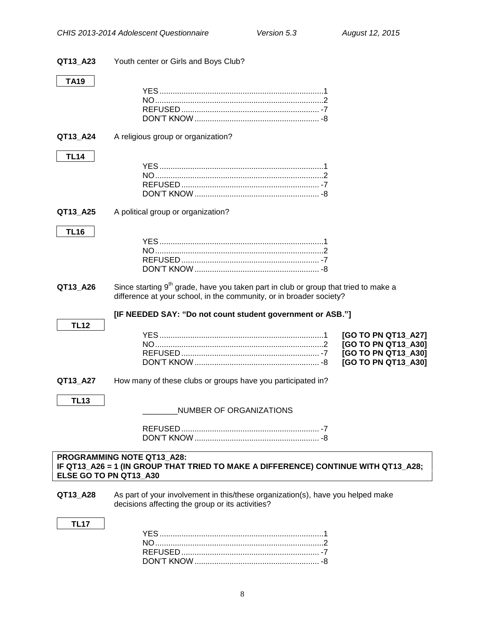| QT13_A23               | Youth center or Girls and Boys Club?                                                                                                                                   |                                                                                          |
|------------------------|------------------------------------------------------------------------------------------------------------------------------------------------------------------------|------------------------------------------------------------------------------------------|
| TA19                   |                                                                                                                                                                        |                                                                                          |
| QT13_A24               | A religious group or organization?                                                                                                                                     |                                                                                          |
| <b>TL14</b>            |                                                                                                                                                                        |                                                                                          |
| QT13_A25               | A political group or organization?                                                                                                                                     |                                                                                          |
| <b>TL16</b>            |                                                                                                                                                                        |                                                                                          |
| QT13_A26               | Since starting 9 <sup>th</sup> grade, have you taken part in club or group that tried to make a<br>difference at your school, in the community, or in broader society? |                                                                                          |
|                        | [IF NEEDED SAY: "Do not count student government or ASB."]                                                                                                             |                                                                                          |
| <b>TL12</b>            |                                                                                                                                                                        | [GO TO PN QT13_A27]<br>[GO TO PN QT13_A30]<br>[GO TO PN QT13_A30]<br>[GO TO PN QT13_A30] |
| QT13_A27               | How many of these clubs or groups have you participated in?                                                                                                            |                                                                                          |
| <b>TL13</b>            | NUMBER OF ORGANIZATIONS                                                                                                                                                |                                                                                          |
|                        |                                                                                                                                                                        |                                                                                          |
| ELSE GO TO PN QT13_A30 | PROGRAMMING NOTE QT13_A28:<br>IF QT13_A26 = 1 (IN GROUP THAT TRIED TO MAKE A DIFFERENCE) CONTINUE WITH QT13_A28;                                                       |                                                                                          |
| QT13_A28               | As part of your involvement in this/these organization(s), have you helped make<br>decisions affecting the group or its activities?                                    |                                                                                          |
| <b>TL17</b>            |                                                                                                                                                                        |                                                                                          |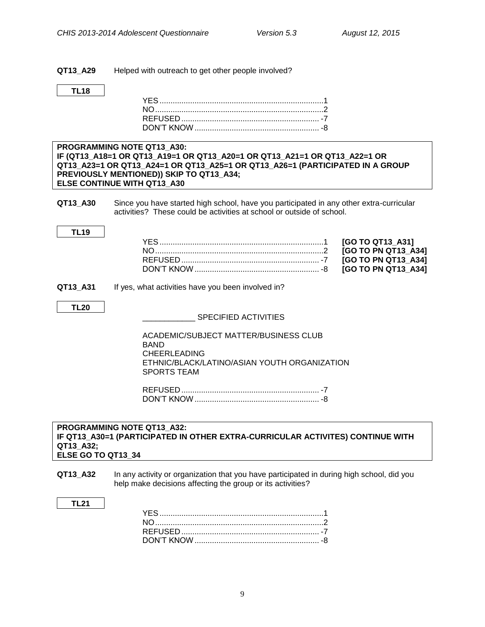**QT13\_A29** Helped with outreach to get other people involved?

## **TL18**

## **PROGRAMMING NOTE QT13\_A30: IF (QT13\_A18=1 OR QT13\_A19=1 OR QT13\_A20=1 OR QT13\_A21=1 OR QT13\_A22=1 OR QT13\_A23=1 OR QT13\_A24=1 OR QT13\_A25=1 OR QT13\_A26=1 (PARTICIPATED IN A GROUP PREVIOUSLY MENTIONED)) SKIP TO QT13\_A34; ELSE CONTINUE WITH QT13\_A30**

**QT13 A30** Since you have started high school, have you participated in any other extra-curricular activities? These could be activities at school or outside of school.

## YES...........................................................................1 **[GO TO QT13\_A31]** NO.............................................................................2 **[GO TO PN QT13\_A34]** REFUSED ............................................................... -7 **[GO TO PN QT13\_A34]** DON'T KNOW......................................................... -8 **[GO TO PN QT13\_A34]**

## **QT13\_A31** If yes, what activities have you been involved in?

## **TL20**

**TL19**

\_\_\_\_\_\_\_\_\_\_\_\_ SPECIFIED ACTIVITIES

ACADEMIC/SUBJECT MATTER/BUSINESS CLUB BAND CHEERLEADING ETHNIC/BLACK/LATINO/ASIAN YOUTH ORGANIZATION SPORTS TEAM

REFUSED ............................................................... -7 DON'T KNOW......................................................... -8

## **PROGRAMMING NOTE QT13\_A32: IF QT13\_A30=1 (PARTICIPATED IN OTHER EXTRA-CURRICULAR ACTIVITES) CONTINUE WITH QT13\_A32; ELSE GO TO QT13\_34**

**QT13\_A32** In any activity or organization that you have participated in during high school, did you help make decisions affecting the group or its activities?

#### **TL21**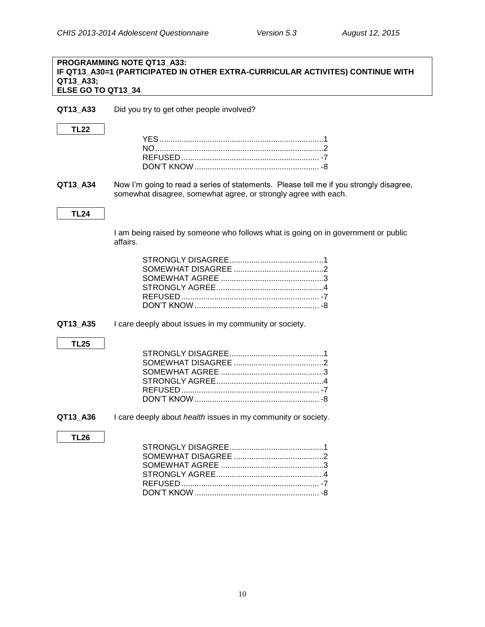## **PROGRAMMING NOTE QT13\_A33: IF QT13\_A30=1 (PARTICIPATED IN OTHER EXTRA-CURRICULAR ACTIVITES) CONTINUE WITH QT13\_A33; ELSE GO TO QT13\_34**

**QT13\_A33** Did you try to get other people involved?

## **TL22**

**QT13\_A34** Now I'm going to read a series of statements. Please tell me if you strongly disagree, somewhat disagree, somewhat agree, or strongly agree with each.

## **TL24**

I am being raised by someone who follows what is going on in government or public affairs.

**QT13 A35** I care deeply about issues in my community or society.

## **TL25**

**QT13\_A36** I care deeply about *health* issues in my community or society.

## **TL26**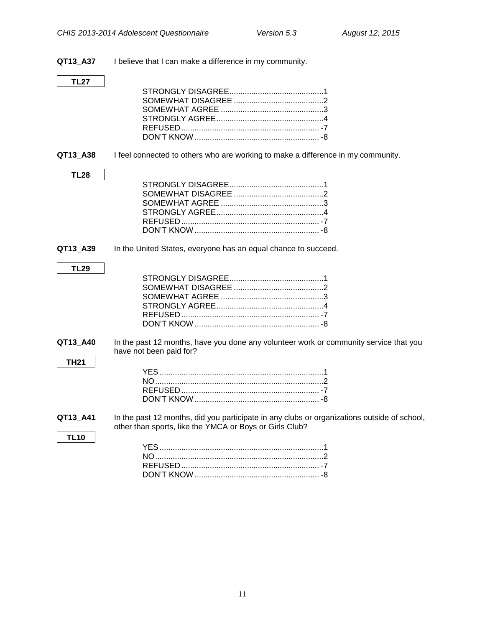**QT13\_A37** I believe that I can make a difference in my community.

## **TL27**

**QT13\_A38** I feel connected to others who are working to make a difference in my community.

## **TL28**

**TL29**

**TH21**

**TL10**

**QT13\_A39** In the United States, everyone has an equal chance to succeed.

## STRONGLY DISAGREE...........................................1 SOMEWHAT DISAGREE .........................................2 SOMEWHAT AGREE ...............................................3 STRONGLY AGREE.................................................4 REFUSED ............................................................... -7 DON'T KNOW......................................................... -8

**QT13\_A40** In the past 12 months, have you done any volunteer work or community service that you have not been paid for?

**QT13\_A41** In the past 12 months, did you participate in any clubs or organizations outside of school, other than sports, like the YMCA or Boys or Girls Club?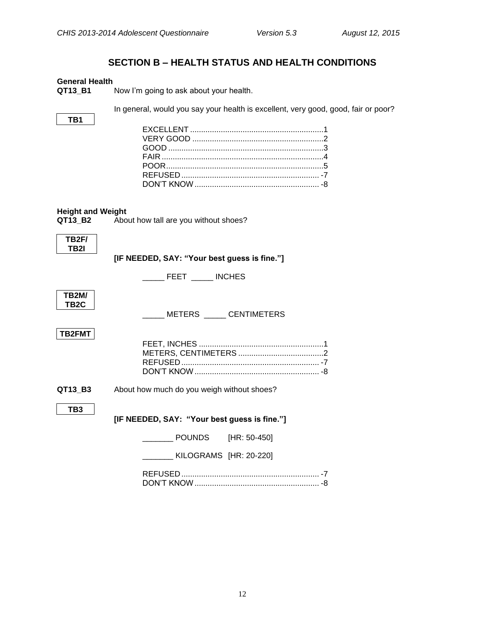## **SECTION B – HEALTH STATUS AND HEALTH CONDITIONS**

## <span id="page-14-1"></span><span id="page-14-0"></span>**General Health**

**TB1**

**QT13\_B1** Now I'm going to ask about your health.

In general, would you say your health is excellent, very good, good, fair or poor?

## <span id="page-14-2"></span>**Height and Weight**

| QT13 | В2 |
|------|----|
|      |    |

<span id="page-14-3"></span>About how tall are you without shoes?

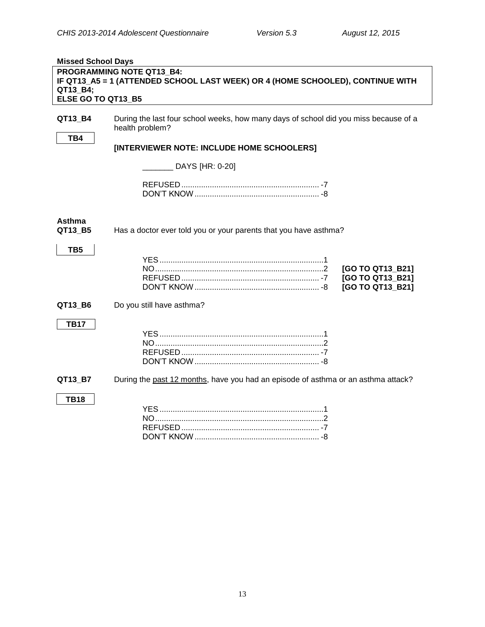<span id="page-15-0"></span>

| <b>Missed School Days</b> |                                                                                                         |
|---------------------------|---------------------------------------------------------------------------------------------------------|
|                           | PROGRAMMING NOTE QT13 B4:                                                                               |
|                           | IF QT13_A5 = 1 (ATTENDED SCHOOL LAST WEEK) OR 4 (HOME SCHOOLED), CONTINUE WITH                          |
| QT13_B4;                  |                                                                                                         |
| ELSE GO TO QT13_B5        |                                                                                                         |
|                           |                                                                                                         |
| QT13_B4                   | During the last four school weeks, how many days of school did you miss because of a<br>health problem? |
| TB4                       |                                                                                                         |
|                           | [INTERVIEWER NOTE: INCLUDE HOME SCHOOLERS]                                                              |
|                           | DAYS [HR: 0-20]                                                                                         |
|                           |                                                                                                         |
| <b>Asthma</b><br>QT13_B5  | Has a doctor ever told you or your parents that you have asthma?                                        |
| TB <sub>5</sub>           | [GO TO QT13_B21]<br>[GO TO QT13_B21]<br>[GO TO QT13_B21]                                                |
| QT13_B6                   | Do you still have asthma?                                                                               |
| <b>TB17</b>               |                                                                                                         |
| QT13_B7                   | During the past 12 months, have you had an episode of asthma or an asthma attack?                       |
| <b>TB18</b>               |                                                                                                         |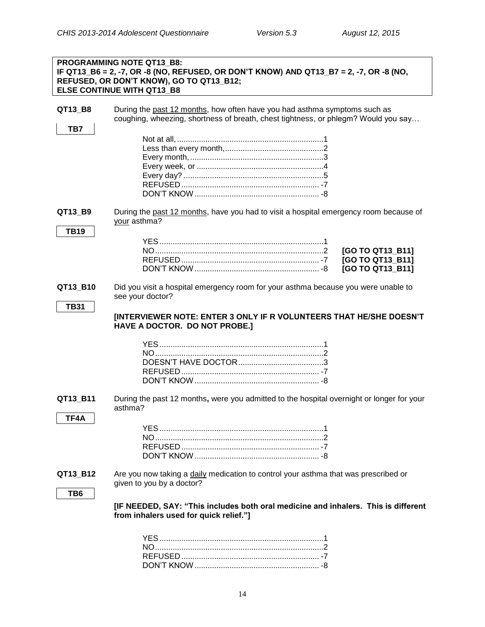|                        | PROGRAMMING NOTE QT13 B8:<br>IF QT13_B6 = 2, -7, OR -8 (NO, REFUSED, OR DON'T KNOW) AND QT13_B7 = 2, -7, OR -8 (NO,<br>REFUSED, OR DON'T KNOW), GO TO QT13_B12;<br><b>ELSE CONTINUE WITH QT13_B8</b> |
|------------------------|------------------------------------------------------------------------------------------------------------------------------------------------------------------------------------------------------|
| QT13_B8<br>TB7         | During the past 12 months, how often have you had asthma symptoms such as<br>coughing, wheezing, shortness of breath, chest tightness, or phlegm? Would you say                                      |
|                        |                                                                                                                                                                                                      |
|                        |                                                                                                                                                                                                      |
| QT13_B9<br><b>TB19</b> | During the past 12 months, have you had to visit a hospital emergency room because of<br>your asthma?                                                                                                |
|                        | [GO TO QT13_B11]<br>[GO TO QT13_B11]<br>[GO TO QT13_B11]                                                                                                                                             |
| QT13 B10               | Did you visit a hospital emergency room for your asthma because you were unable to<br>see your doctor?                                                                                               |
| <b>TB31</b>            | [INTERVIEWER NOTE: ENTER 3 ONLY IF R VOLUNTEERS THAT HE/SHE DOESN'T<br>HAVE A DOCTOR. DO NOT PROBE.]                                                                                                 |
|                        |                                                                                                                                                                                                      |
| QT13 B11<br>TF4A       | During the past 12 months, were you admitted to the hospital overnight or longer for your<br>asthma?                                                                                                 |
|                        |                                                                                                                                                                                                      |
| QT13_B12               | Are you now taking a daily medication to control your asthma that was prescribed or<br>given to you by a doctor?                                                                                     |
| TB <sub>6</sub>        | [IF NEEDED, SAY: "This includes both oral medicine and inhalers. This is different<br>from inhalers used for quick relief."]                                                                         |
|                        |                                                                                                                                                                                                      |

DON'T KNOW......................................................... -8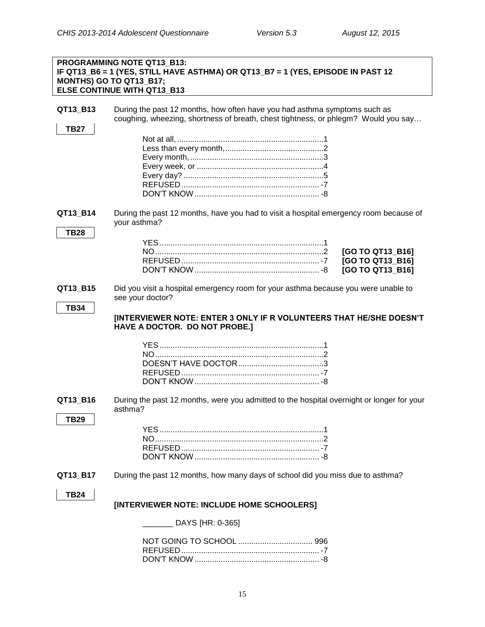|                         | PROGRAMMING NOTE QT13 B13:<br>IF QT13_B6 = 1 (YES, STILL HAVE ASTHMA) OR QT13_B7 = 1 (YES, EPISODE IN PAST 12<br>MONTHS) GO TO QT13_B17;<br><b>ELSE CONTINUE WITH QT13 B13</b> |                                                          |
|-------------------------|--------------------------------------------------------------------------------------------------------------------------------------------------------------------------------|----------------------------------------------------------|
| QT13 B13<br><b>TB27</b> | During the past 12 months, how often have you had asthma symptoms such as<br>coughing, wheezing, shortness of breath, chest tightness, or phlegm? Would you say                |                                                          |
|                         |                                                                                                                                                                                |                                                          |
|                         |                                                                                                                                                                                |                                                          |
| QT13_B14                | During the past 12 months, have you had to visit a hospital emergency room because of<br>your asthma?                                                                          |                                                          |
| <b>TB28</b>             |                                                                                                                                                                                |                                                          |
|                         |                                                                                                                                                                                | [GO TO QT13_B16]<br>[GO TO QT13_B16]<br>[GO TO QT13 B16] |
| QT13_B15                | Did you visit a hospital emergency room for your asthma because you were unable to<br>see your doctor?                                                                         |                                                          |
| <b>TB34</b>             | [INTERVIEWER NOTE: ENTER 3 ONLY IF R VOLUNTEERS THAT HE/SHE DOESN'T<br>HAVE A DOCTOR. DO NOT PROBE.]                                                                           |                                                          |
|                         |                                                                                                                                                                                |                                                          |
| QT13_B16                | During the past 12 months, were you admitted to the hospital overnight or longer for your<br>asthma?                                                                           |                                                          |
| TB29                    |                                                                                                                                                                                |                                                          |
| QT13_B17                | During the past 12 months, how many days of school did you miss due to asthma?                                                                                                 |                                                          |
| TB24                    | [INTERVIEWER NOTE: INCLUDE HOME SCHOOLERS]                                                                                                                                     |                                                          |
|                         | DAYS [HR: 0-365]                                                                                                                                                               |                                                          |
|                         |                                                                                                                                                                                |                                                          |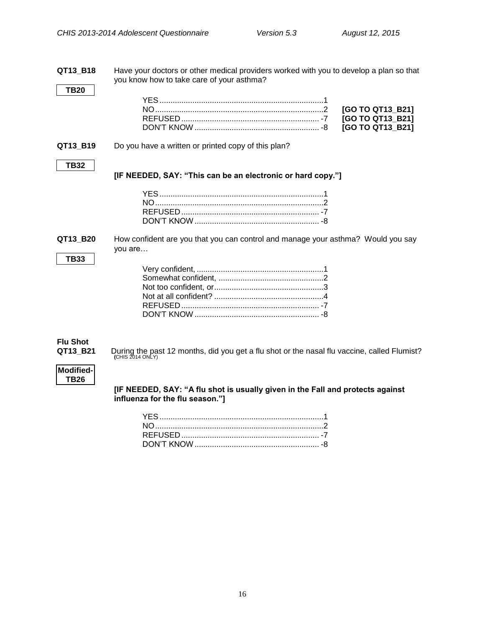**QT13\_B18** Have your doctors or other medical providers worked with you to develop a plan so that you know how to take care of your asthma? **TB20** YES...........................................................................1 NO.............................................................................2 **[GO TO QT13\_B21]** REFUSED ............................................................... -7 **[GO TO QT13\_B21]** DON'T KNOW ......................................................... -8 **[GO TO QT13\_B21] QT13 B19** Do you have a written or printed copy of this plan? **TB32 [IF NEEDED, SAY: "This can be an electronic or hard copy."]** YES...........................................................................1 NO.............................................................................2 REFUSED ............................................................... -7 DON'T KNOW......................................................... -8 **QT13\_B20** How confident are you that you can control and manage your asthma? Would you say you are… **TB33** Very confident, ..........................................................1 Somewhat confident, ................................................2 Not too confident, or..................................................3 Not at all confident? ..................................................4 REFUSED ............................................................... -7 DON'T KNOW ......................................................... -8 **Flu Shot QT13\_B21** During the past 12 months, did you get a flu shot or the nasal flu vaccine, called Flumist?<br>
(CHIS 2014 ONLY)

## **Modified-TB26**

<span id="page-18-0"></span>**[IF NEEDED, SAY: "A flu shot is usually given in the Fall and protects against influenza for the flu season."]**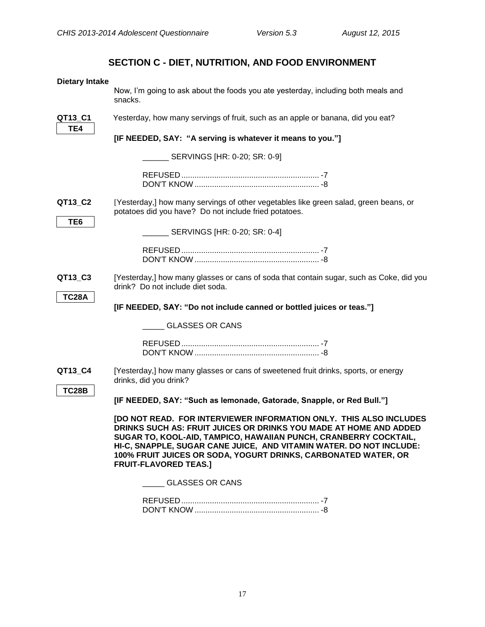# **SECTION C - DIET, NUTRITION, AND FOOD ENVIRONMENT**

<span id="page-19-1"></span><span id="page-19-0"></span>

| <b>Dietary Intake</b> |                                                                                                                                                                                                                                                                                                                                                                                      |
|-----------------------|--------------------------------------------------------------------------------------------------------------------------------------------------------------------------------------------------------------------------------------------------------------------------------------------------------------------------------------------------------------------------------------|
|                       | Now, I'm going to ask about the foods you ate yesterday, including both meals and<br>snacks.                                                                                                                                                                                                                                                                                         |
| QT13 C1<br>TE4        | Yesterday, how many servings of fruit, such as an apple or banana, did you eat?                                                                                                                                                                                                                                                                                                      |
|                       | [IF NEEDED, SAY: "A serving is whatever it means to you."]                                                                                                                                                                                                                                                                                                                           |
|                       | ___ SERVINGS [HR: 0-20; SR: 0-9]                                                                                                                                                                                                                                                                                                                                                     |
|                       |                                                                                                                                                                                                                                                                                                                                                                                      |
| QT13_C2<br>TE6        | [Yesterday,] how many servings of other vegetables like green salad, green beans, or<br>potatoes did you have? Do not include fried potatoes.                                                                                                                                                                                                                                        |
|                       | ___ SERVINGS [HR: 0-20; SR: 0-4]                                                                                                                                                                                                                                                                                                                                                     |
|                       |                                                                                                                                                                                                                                                                                                                                                                                      |
| QT13_C3               | [Yesterday,] how many glasses or cans of soda that contain sugar, such as Coke, did you<br>drink? Do not include diet soda.                                                                                                                                                                                                                                                          |
| <b>TC28A</b>          | [IF NEEDED, SAY: "Do not include canned or bottled juices or teas."]                                                                                                                                                                                                                                                                                                                 |
|                       | <b>GLASSES OR CANS</b>                                                                                                                                                                                                                                                                                                                                                               |
|                       |                                                                                                                                                                                                                                                                                                                                                                                      |
| QT13_C4               | [Yesterday,] how many glasses or cans of sweetened fruit drinks, sports, or energy<br>drinks, did you drink?                                                                                                                                                                                                                                                                         |
| <b>TC28B</b>          | [IF NEEDED, SAY: "Such as lemonade, Gatorade, Snapple, or Red Bull."]                                                                                                                                                                                                                                                                                                                |
|                       | [DO NOT READ. FOR INTERVIEWER INFORMATION ONLY. THIS ALSO INCLUDES<br>DRINKS SUCH AS: FRUIT JUICES OR DRINKS YOU MADE AT HOME AND ADDED<br>SUGAR TO, KOOL-AID, TAMPICO, HAWAIIAN PUNCH, CRANBERRY COCKTAIL,<br>HI-C, SNAPPLE, SUGAR CANE JUICE, AND VITAMIN WATER. DO NOT INCLUDE:<br>100% FRUIT JUICES OR SODA, YOGURT DRINKS, CARBONATED WATER, OR<br><b>FRUIT-FLAVORED TEAS.]</b> |
|                       | <b>GLASSES OR CANS</b>                                                                                                                                                                                                                                                                                                                                                               |
|                       |                                                                                                                                                                                                                                                                                                                                                                                      |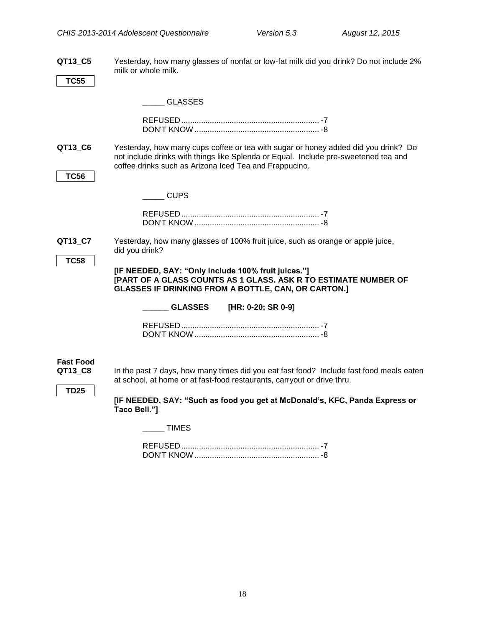**QT13\_C5** Yesterday, how many glasses of nonfat or low-fat milk did you drink? Do not include 2% milk or whole milk.

**TC55**

|  | <b>GLASSES</b> |
|--|----------------|
|  |                |

**QT13\_C6** Yesterday, how many cups coffee or tea with sugar or honey added did you drink? Do not include drinks with things like Splenda or Equal. Include pre-sweetened tea and coffee drinks such as Arizona Iced Tea and Frappucino. **TC56**

\_\_\_\_\_ CUPS

**QT13\_C7** Yesterday, how many glasses of 100% fruit juice, such as orange or apple juice, did you drink?

**TC58**

**[IF NEEDED, SAY: "Only include 100% fruit juices."] [PART OF A GLASS COUNTS AS 1 GLASS. ASK R TO ESTIMATE NUMBER OF GLASSES IF DRINKING FROM A BOTTLE, CAN, OR CARTON.]**

| <b>GLASSES</b> | [HR: 0-20; SR 0-9] |
|----------------|--------------------|
|                |                    |

# <span id="page-20-0"></span>**Fast Food**

In the past 7 days, how many times did you eat fast food? Include fast food meals eaten at school, at home or at fast-food restaurants, carryout or drive thru.

## <span id="page-20-1"></span>**TD25**

**[IF NEEDED, SAY: "Such as food you get at McDonald's, KFC, Panda Express or Taco Bell."]**

\_\_\_\_\_ TIMES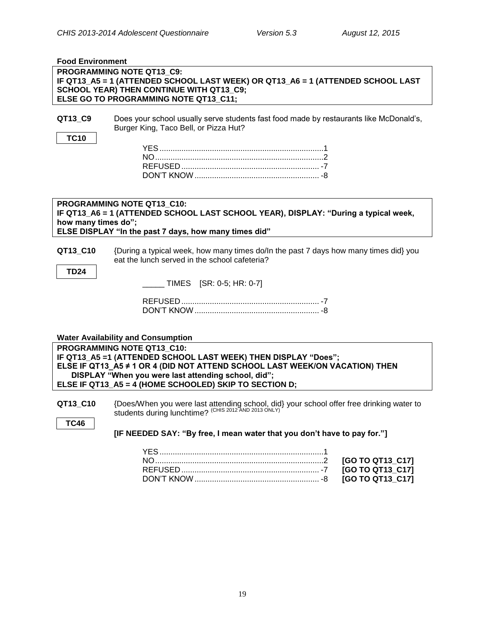| <b>Food Environment</b> |                                                                                          |
|-------------------------|------------------------------------------------------------------------------------------|
|                         | PROGRAMMING NOTE QT13 C9:                                                                |
|                         | IF QT13_A5 = 1 (ATTENDED SCHOOL LAST WEEK) OR QT13_A6 = 1 (ATTENDED SCHOOL LAST          |
|                         | SCHOOL YEAR) THEN CONTINUE WITH QT13_C9;<br>ELSE GO TO PROGRAMMING NOTE QT13 C11;        |
|                         |                                                                                          |
| QT13_C9                 | Does your school usually serve students fast food made by restaurants like McDonald's,   |
|                         | Burger King, Taco Bell, or Pizza Hut?                                                    |
| <b>TC10</b>             |                                                                                          |
|                         |                                                                                          |
|                         |                                                                                          |
|                         |                                                                                          |
|                         |                                                                                          |
|                         |                                                                                          |
|                         |                                                                                          |
|                         | PROGRAMMING NOTE QT13 C10:                                                               |
|                         | IF QT13_A6 = 1 (ATTENDED SCHOOL LAST SCHOOL YEAR), DISPLAY: "During a typical week,      |
| how many times do";     |                                                                                          |
|                         | ELSE DISPLAY "In the past 7 days, how many times did"                                    |
| QT13_C10                | {During a typical week, how many times do/In the past 7 days how many times did} you     |
|                         | eat the lunch served in the school cafeteria?                                            |
|                         |                                                                                          |
| <b>TD24</b>             |                                                                                          |
|                         | $\_$ TIMES $[SR: 0-5; HR: 0-7]$                                                          |
|                         |                                                                                          |
|                         |                                                                                          |
|                         |                                                                                          |
|                         |                                                                                          |
|                         | <b>Water Availability and Consumption</b>                                                |
|                         | PROGRAMMING NOTE QT13 C10:                                                               |
|                         | IF QT13_A5 =1 (ATTENDED SCHOOL LAST WEEK) THEN DISPLAY "Does";                           |
|                         | ELSE IF QT13_A5 ≠ 1 OR 4 (DID NOT ATTEND SCHOOL LAST WEEK/ON VACATION) THEN              |
|                         | DISPLAY "When you were last attending school, did";                                      |
|                         | ELSE IF QT13_A5 = 4 (HOME SCHOOLED) SKIP TO SECTION D;                                   |
|                         |                                                                                          |
| QT13 C10                | {Does/When you were last attending school, did} your school offer free drinking water to |
|                         | students during lunchtime? <sup>(CHIS 2012 AND 2013 ONLY)</sup>                          |
| <b>TC46</b>             |                                                                                          |
|                         | [IF NEEDED SAY: "By free, I mean water that you don't have to pay for."]                 |
|                         |                                                                                          |
|                         |                                                                                          |
|                         | [GO TO QT13_C17]                                                                         |
|                         | [GO TO QT13_C17]                                                                         |

<span id="page-21-0"></span>DON'T KNOW......................................................... -8 **[GO TO QT13\_C17]**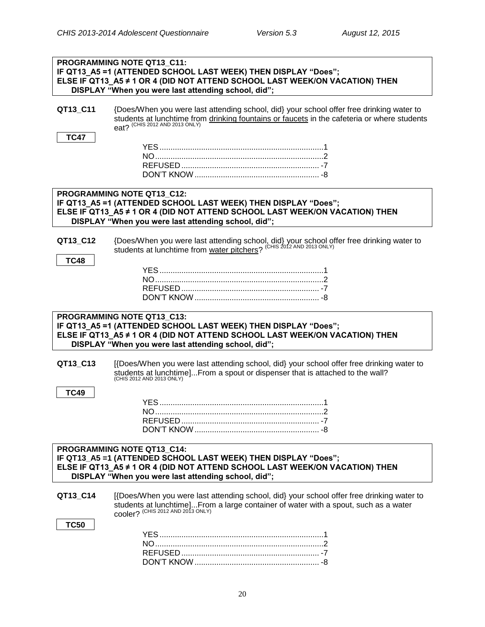|             | PROGRAMMING NOTE QT13_C11:<br>IF QT13_A5 =1 (ATTENDED SCHOOL LAST WEEK) THEN DISPLAY "Does";                                                                  |
|-------------|---------------------------------------------------------------------------------------------------------------------------------------------------------------|
|             | ELSE IF QT13_A5 ≠ 1 OR 4 (DID NOT ATTEND SCHOOL LAST WEEK/ON VACATION) THEN                                                                                   |
|             | DISPLAY "When you were last attending school, did";                                                                                                           |
| QT13 C11    | {Does/When you were last attending school, did} your school offer free drinking water to                                                                      |
|             | students at lunchtime from drinking fountains or faucets in the cafeteria or where students eat? (CHIS 2012 AND 2013 ONLY)                                    |
| <b>TC47</b> |                                                                                                                                                               |
|             |                                                                                                                                                               |
|             |                                                                                                                                                               |
|             |                                                                                                                                                               |
|             |                                                                                                                                                               |
|             | PROGRAMMING NOTE QT13_C12:                                                                                                                                    |
|             | IF QT13_A5 =1 (ATTENDED SCHOOL LAST WEEK) THEN DISPLAY "Does";<br>ELSE IF QT13_A5 ≠ 1 OR 4 (DID NOT ATTEND SCHOOL LAST WEEK/ON VACATION) THEN                 |
|             | DISPLAY "When you were last attending school, did";                                                                                                           |
| QT13_C12    |                                                                                                                                                               |
|             | {Does/When you were last attending school, did} your school offer free drinking water to students at lunchtime from water pitchers? (CHIS 2012 AND 2013 ONLY) |
| <b>TC48</b> |                                                                                                                                                               |
|             |                                                                                                                                                               |
|             |                                                                                                                                                               |
|             |                                                                                                                                                               |
|             | PROGRAMMING NOTE QT13_C13:                                                                                                                                    |
|             | IF QT13_A5 =1 (ATTENDED SCHOOL LAST WEEK) THEN DISPLAY "Does";                                                                                                |
|             | ELSE IF QT13_A5 ≠ 1 OR 4 (DID NOT ATTEND SCHOOL LAST WEEK/ON VACATION) THEN<br>DISPLAY "When you were last attending school, did";                            |
|             |                                                                                                                                                               |
| QT13_C13    | [{Does/When you were last attending school, did} your school offer free drinking water to                                                                     |
|             | students at lunchtime]From a spout or dispenser that is attached to the wall?<br>(CHIS 2012 AND 2013 ONLY)                                                    |
| <b>TC49</b> |                                                                                                                                                               |
|             |                                                                                                                                                               |
|             | <b>NO</b>                                                                                                                                                     |
|             |                                                                                                                                                               |
|             |                                                                                                                                                               |
|             | PROGRAMMING NOTE QT13_C14:                                                                                                                                    |
|             | IF QT13_A5 =1 (ATTENDED SCHOOL LAST WEEK) THEN DISPLAY "Does";<br>ELSE IF QT13_A5 ≠ 1 OR 4 (DID NOT ATTEND SCHOOL LAST WEEK/ON VACATION) THEN                 |
|             | DISPLAY "When you were last attending school, did";                                                                                                           |
| QT13 C14    | [{Does/When you were last attending school, did} your school offer free drinking water to                                                                     |
|             | students at lunchtime]From a large container of water with a spout, such as a water cooler? (CHIS 2012 AND 2013 ONLY)                                         |
|             |                                                                                                                                                               |
| <b>TC50</b> |                                                                                                                                                               |
|             |                                                                                                                                                               |
|             |                                                                                                                                                               |
|             |                                                                                                                                                               |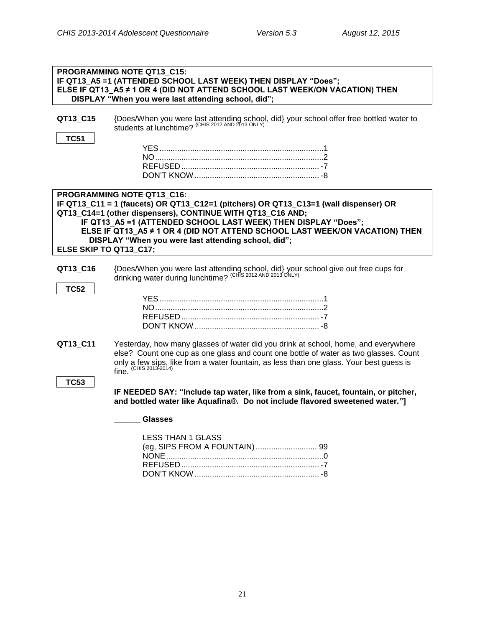| PROGRAMMING NOTE QT13_C15:<br>IF QT13_A5 =1 (ATTENDED SCHOOL LAST WEEK) THEN DISPLAY "Does";<br>ELSE IF QT13 A5 ≠ 1 OR 4 (DID NOT ATTEND SCHOOL LAST WEEK/ON VACATION) THEN<br>DISPLAY "When you were last attending school, did"; |                                                                                                                                                                                                                                                                                                                                                                                          |  |
|------------------------------------------------------------------------------------------------------------------------------------------------------------------------------------------------------------------------------------|------------------------------------------------------------------------------------------------------------------------------------------------------------------------------------------------------------------------------------------------------------------------------------------------------------------------------------------------------------------------------------------|--|
| QT13_C15                                                                                                                                                                                                                           | {Does/When you were last attending school, did} your school offer free bottled water to students at lunchtime? (CHIS 2012 AND 2013 ONLY)                                                                                                                                                                                                                                                 |  |
| <b>TC51</b>                                                                                                                                                                                                                        |                                                                                                                                                                                                                                                                                                                                                                                          |  |
|                                                                                                                                                                                                                                    |                                                                                                                                                                                                                                                                                                                                                                                          |  |
|                                                                                                                                                                                                                                    |                                                                                                                                                                                                                                                                                                                                                                                          |  |
|                                                                                                                                                                                                                                    |                                                                                                                                                                                                                                                                                                                                                                                          |  |
|                                                                                                                                                                                                                                    |                                                                                                                                                                                                                                                                                                                                                                                          |  |
| ELSE SKIP TO QT13 C17;                                                                                                                                                                                                             | PROGRAMMING NOTE QT13_C16:<br>IF QT13_C11 = 1 (faucets) OR QT13_C12=1 (pitchers) OR QT13_C13=1 (wall dispenser) OR<br>QT13_C14=1 (other dispensers), CONTINUE WITH QT13_C16 AND;<br>IF QT13 A5 =1 (ATTENDED SCHOOL LAST WEEK) THEN DISPLAY "Does";<br>ELSE IF QT13_A5 ≠ 1 OR 4 (DID NOT ATTEND SCHOOL LAST WEEK/ON VACATION) THEN<br>DISPLAY "When you were last attending school, did"; |  |
| QT13_C16<br><b>TC52</b>                                                                                                                                                                                                            | {Does/When you were last attending school, did} your school give out free cups for drinking water during lunchtime? (CHIS 2012 AND 2013 ONLY)                                                                                                                                                                                                                                            |  |
|                                                                                                                                                                                                                                    |                                                                                                                                                                                                                                                                                                                                                                                          |  |
| QT13_C11                                                                                                                                                                                                                           | Yesterday, how many glasses of water did you drink at school, home, and everywhere<br>else? Count one cup as one glass and count one bottle of water as two glasses. Count<br>only a few sips, like from a water fountain, as less than one glass. Your best guess is<br>fine. (CHIS 2013-2014)                                                                                          |  |
| <b>TC53</b>                                                                                                                                                                                                                        | IF NEEDED SAY: "Include tap water, like from a sink, faucet, fountain, or pitcher,<br>and bottled water like Aquafina®. Do not include flavored sweetened water."]                                                                                                                                                                                                                       |  |
|                                                                                                                                                                                                                                    | <b>Glasses</b>                                                                                                                                                                                                                                                                                                                                                                           |  |
|                                                                                                                                                                                                                                    | <b>LESS THAN 1 GLASS</b>                                                                                                                                                                                                                                                                                                                                                                 |  |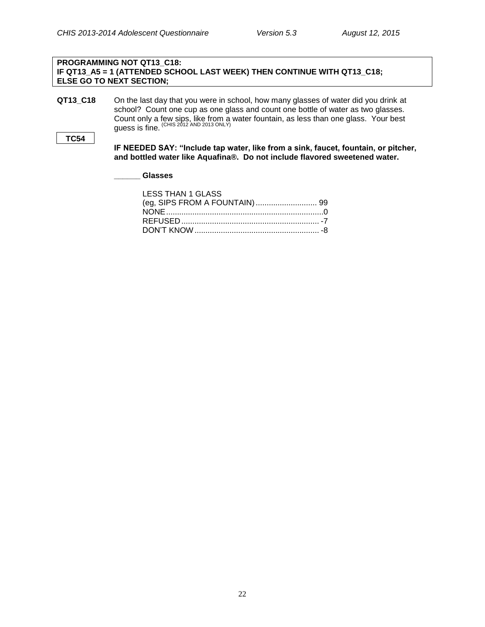## **PROGRAMMING NOT QT13\_C18: IF QT13\_A5 = 1 (ATTENDED SCHOOL LAST WEEK) THEN CONTINUE WITH QT13\_C18; ELSE GO TO NEXT SECTION;**

**QT13\_C18** On the last day that you were in school, how many glasses of water did you drink at school? Count one cup as one glass and count one bottle of water as two glasses. Count only a few sips, like from a water fountain, as less than one glass. Your best guess is fine. (CHIS 2012 AND 2013 ONLY)

## **TC54**

**IF NEEDED SAY: "Include tap water, like from a sink, faucet, fountain, or pitcher, and bottled water like Aquafina®. Do not include flavored sweetened water.** 

**\_\_\_\_\_\_ Glasses**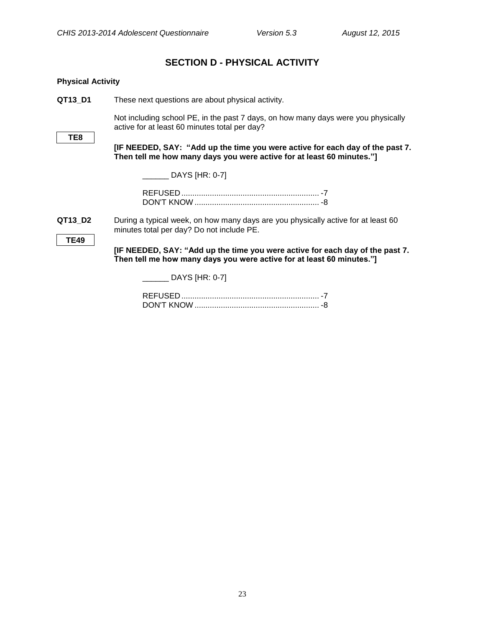## **SECTION D - PHYSICAL ACTIVITY**

<span id="page-25-1"></span><span id="page-25-0"></span>

| <b>Physical Activity</b> |                                                                                                                                                        |
|--------------------------|--------------------------------------------------------------------------------------------------------------------------------------------------------|
| QT13_D1                  | These next questions are about physical activity.                                                                                                      |
| TE8                      | Not including school PE, in the past 7 days, on how many days were you physically<br>active for at least 60 minutes total per day?                     |
|                          | [IF NEEDED, SAY: "Add up the time you were active for each day of the past 7.<br>Then tell me how many days you were active for at least 60 minutes."] |
|                          | $\Box$ DAYS [HR: 0-7]                                                                                                                                  |
|                          |                                                                                                                                                        |
| QT13_D2                  | During a typical week, on how many days are you physically active for at least 60<br>minutes total per day? Do not include PE.                         |
| <b>TE49</b>              | [IF NEEDED, SAY: "Add up the time you were active for each day of the past 7.<br>Then tell me how many days you were active for at least 60 minutes."] |
|                          | DAYS [HR: 0-7]                                                                                                                                         |
|                          |                                                                                                                                                        |

DON'T KNOW ......................................................... -8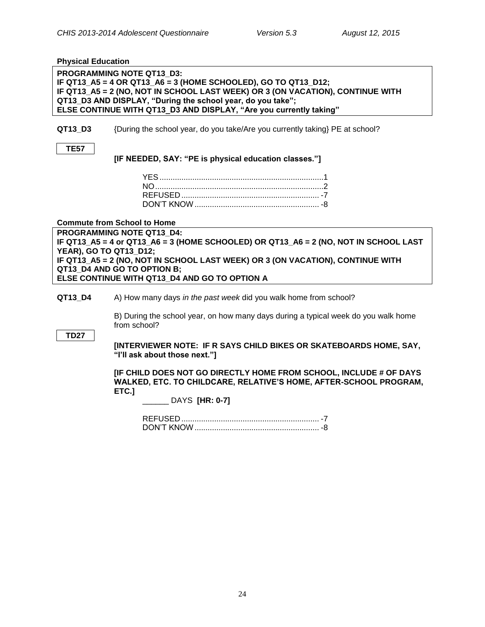<span id="page-26-0"></span>**Physical Education**

**PROGRAMMING NOTE QT13\_D3: IF QT13\_A5 = 4 OR QT13\_A6 = 3 (HOME SCHOOLED), GO TO QT13\_D12; IF QT13\_A5 = 2 (NO, NOT IN SCHOOL LAST WEEK) OR 3 (ON VACATION), CONTINUE WITH QT13\_D3 AND DISPLAY, "During the school year, do you take"; ELSE CONTINUE WITH QT13\_D3 AND DISPLAY, "Are you currently taking"**

**QT13 D3** {During the school year, do you take/Are you currently taking} PE at school?

| w<br>۰, |  |
|---------|--|

**[IF NEEDED, SAY: "PE is physical education classes."]**

<span id="page-26-1"></span>**Commute from School to Home**

**PROGRAMMING NOTE QT13\_D4: IF QT13\_A5 = 4 or QT13\_A6 = 3 (HOME SCHOOLED) OR QT13\_A6 = 2 (NO, NOT IN SCHOOL LAST YEAR), GO TO QT13\_D12; IF QT13\_A5 = 2 (NO, NOT IN SCHOOL LAST WEEK) OR 3 (ON VACATION), CONTINUE WITH QT13\_D4 AND GO TO OPTION B; ELSE CONTINUE WITH QT13\_D4 AND GO TO OPTION A**

**QT13\_D4** A) How many days *in the past week* did you walk home from school?

B) During the school year, on how many days during a typical week do you walk home from school?

**TD27**

**[INTERVIEWER NOTE: IF R SAYS CHILD BIKES OR SKATEBOARDS HOME, SAY, "I'll ask about those next."]**

**[IF CHILD DOES NOT GO DIRECTLY HOME FROM SCHOOL, INCLUDE # OF DAYS WALKED, ETC. TO CHILDCARE, RELATIVE'S HOME, AFTER-SCHOOL PROGRAM, ETC.]**

\_\_\_\_\_\_ DAYS **[HR: 0-7]**

REFUSED ............................................................... -7 DON'T KNOW......................................................... -8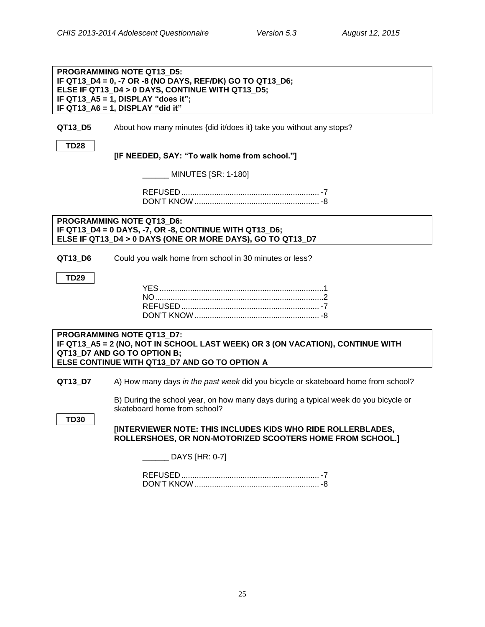|             | <b>PROGRAMMING NOTE QT13 D5:</b><br>IF QT13_D4 = 0, -7 OR -8 (NO DAYS, REF/DK) GO TO QT13_D6;<br>ELSE IF QT13 D4 > 0 DAYS, CONTINUE WITH QT13 D5;<br>IF QT13_A5 = 1, DISPLAY "does it";<br>IF QT13_A6 = 1, DISPLAY "did it" |
|-------------|-----------------------------------------------------------------------------------------------------------------------------------------------------------------------------------------------------------------------------|
| QT13_D5     | About how many minutes {did it/does it} take you without any stops?                                                                                                                                                         |
| <b>TD28</b> | [IF NEEDED, SAY: "To walk home from school."]                                                                                                                                                                               |
|             | <b>MINUTES [SR: 1-180]</b>                                                                                                                                                                                                  |
|             |                                                                                                                                                                                                                             |
|             | <b>PROGRAMMING NOTE QT13 D6:</b><br>IF QT13_D4 = 0 DAYS, -7, OR -8, CONTINUE WITH QT13_D6;<br>ELSE IF QT13_D4 > 0 DAYS (ONE OR MORE DAYS), GO TO QT13_D7                                                                    |
| QT13_D6     | Could you walk home from school in 30 minutes or less?                                                                                                                                                                      |
| <b>TD29</b> |                                                                                                                                                                                                                             |
|             |                                                                                                                                                                                                                             |
|             |                                                                                                                                                                                                                             |
|             | <b>PROGRAMMING NOTE QT13 D7:</b><br>IF QT13_A5 = 2 (NO, NOT IN SCHOOL LAST WEEK) OR 3 (ON VACATION), CONTINUE WITH<br>QT13_D7 AND GO TO OPTION B;<br>ELSE CONTINUE WITH QT13 D7 AND GO TO OPTION A                          |
| QT13_D7     | A) How many days in the past week did you bicycle or skateboard home from school?                                                                                                                                           |
| <b>TD30</b> | B) During the school year, on how many days during a typical week do you bicycle or<br>skateboard home from school?                                                                                                         |
|             | [INTERVIEWER NOTE: THIS INCLUDES KIDS WHO RIDE ROLLERBLADES,<br>ROLLERSHOES, OR NON-MOTORIZED SCOOTERS HOME FROM SCHOOL.]                                                                                                   |
|             | _ DAYS [HR: 0-7]                                                                                                                                                                                                            |
|             |                                                                                                                                                                                                                             |
|             |                                                                                                                                                                                                                             |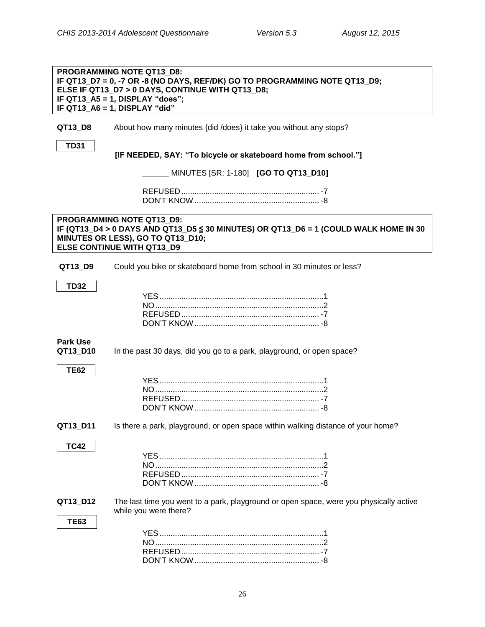<span id="page-28-0"></span>

|                             | PROGRAMMING NOTE QT13 D8:<br>IF QT13_D7 = 0, -7 OR -8 (NO DAYS, REF/DK) GO TO PROGRAMMING NOTE QT13_D9;<br>ELSE IF QT13 D7 > 0 DAYS, CONTINUE WITH QT13 D8;<br>IF QT13_A5 = 1, DISPLAY "does";<br>IF QT13_A6 = 1, DISPLAY "did" |
|-----------------------------|---------------------------------------------------------------------------------------------------------------------------------------------------------------------------------------------------------------------------------|
| QT13_D8                     | About how many minutes {did /does} it take you without any stops?                                                                                                                                                               |
| <b>TD31</b>                 |                                                                                                                                                                                                                                 |
|                             | [IF NEEDED, SAY: "To bicycle or skateboard home from school."]                                                                                                                                                                  |
|                             | MINUTES [SR: 1-180] [GO TO QT13_D10]                                                                                                                                                                                            |
|                             |                                                                                                                                                                                                                                 |
|                             |                                                                                                                                                                                                                                 |
|                             | PROGRAMMING NOTE QT13 D9:<br>IF (QT13_D4 > 0 DAYS AND QT13_D5 ≤ 30 MINUTES) OR QT13_D6 = 1 (COULD WALK HOME IN 30<br>MINUTES OR LESS), GO TO QT13_D10;<br><b>ELSE CONTINUE WITH QT13 D9</b>                                     |
| QT13_D9                     | Could you bike or skateboard home from school in 30 minutes or less?                                                                                                                                                            |
| <b>TD32</b>                 |                                                                                                                                                                                                                                 |
|                             |                                                                                                                                                                                                                                 |
|                             |                                                                                                                                                                                                                                 |
|                             |                                                                                                                                                                                                                                 |
|                             |                                                                                                                                                                                                                                 |
| <b>Park Use</b><br>QT13_D10 | In the past 30 days, did you go to a park, playground, or open space?                                                                                                                                                           |
| <b>TE62</b>                 |                                                                                                                                                                                                                                 |
|                             |                                                                                                                                                                                                                                 |
|                             |                                                                                                                                                                                                                                 |
|                             |                                                                                                                                                                                                                                 |
|                             |                                                                                                                                                                                                                                 |
| QT13_D11                    | Is there a park, playground, or open space within walking distance of your home?                                                                                                                                                |
| <b>TC42</b>                 |                                                                                                                                                                                                                                 |
|                             |                                                                                                                                                                                                                                 |
|                             |                                                                                                                                                                                                                                 |
|                             |                                                                                                                                                                                                                                 |
|                             |                                                                                                                                                                                                                                 |
| QT13_D12                    | The last time you went to a park, playground or open space, were you physically active                                                                                                                                          |
| <b>TE63</b>                 | while you were there?                                                                                                                                                                                                           |
|                             |                                                                                                                                                                                                                                 |
|                             |                                                                                                                                                                                                                                 |
|                             |                                                                                                                                                                                                                                 |
|                             |                                                                                                                                                                                                                                 |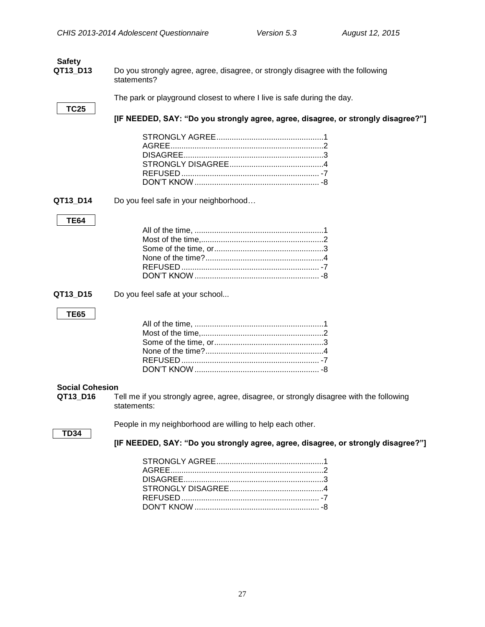<span id="page-29-0"></span>

| <b>Safety</b><br>QT13_D13 | Do you strongly agree, agree, disagree, or strongly disagree with the following                        |  |  |
|---------------------------|--------------------------------------------------------------------------------------------------------|--|--|
|                           | statements?                                                                                            |  |  |
|                           | The park or playground closest to where I live is safe during the day.                                 |  |  |
| <b>TC25</b>               | [IF NEEDED, SAY: "Do you strongly agree, agree, disagree, or strongly disagree?"]                      |  |  |
|                           |                                                                                                        |  |  |
| QT13_D14                  | Do you feel safe in your neighborhood                                                                  |  |  |
| <b>TE64</b>               |                                                                                                        |  |  |
|                           |                                                                                                        |  |  |
| QT13_D15                  | Do you feel safe at your school                                                                        |  |  |
| <b>TE65</b>               |                                                                                                        |  |  |
| <b>Social Cohesion</b>    |                                                                                                        |  |  |
| QT13_D16                  | Tell me if you strongly agree, agree, disagree, or strongly disagree with the following<br>statements: |  |  |
|                           | People in my neighborhood are willing to help each other.                                              |  |  |
| <b>TD34</b>               | [IF NEEDED, SAY: "Do you strongly agree, agree, disagree, or strongly disagree?"]                      |  |  |
|                           |                                                                                                        |  |  |

<span id="page-29-1"></span>DON'T KNOW ......................................................... -8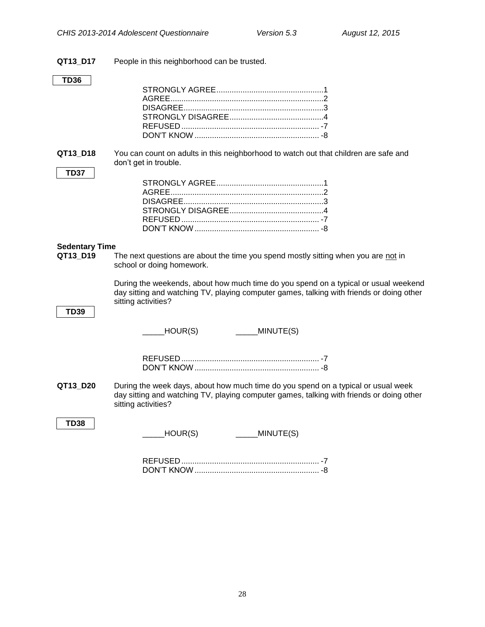**QT13\_D17** People in this neighborhood can be trusted.

## **TD36**

**QT13 D18** You can count on adults in this neighborhood to watch out that children are safe and don't get in trouble.

## **TD37**

## <span id="page-30-0"></span>**Sedentary Time**

**QT13\_D19** The next questions are about the time you spend mostly sitting when you are not in school or doing homework.

> During the weekends, about how much time do you spend on a typical or usual weekend day sitting and watching TV, playing computer games, talking with friends or doing other sitting activities?

## **TD39**

 $_HOUR(S)$  \_\_\_\_\_MINUTE(S)

**QT13\_D20** During the week days, about how much time do you spend on a typical or usual week day sitting and watching TV, playing computer games, talking with friends or doing other sitting activities?

## **TD38**

 $_HOUR(S)$  \_\_\_\_\_MINUTE(S)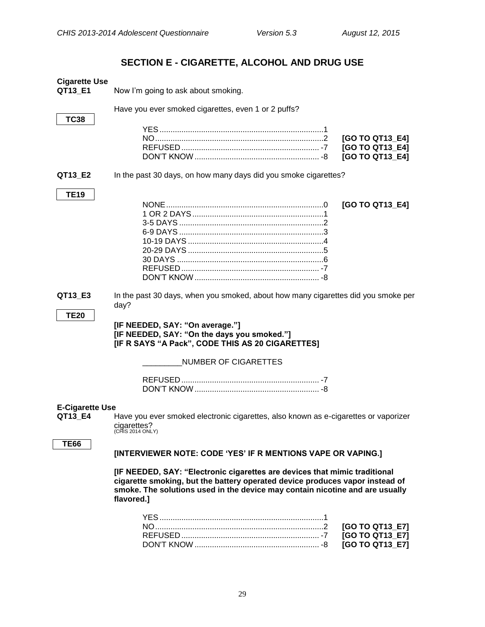## **SECTION E - CIGARETTE, ALCOHOL AND DRUG USE**

<span id="page-31-2"></span><span id="page-31-1"></span><span id="page-31-0"></span>

| <b>Cigarette Use</b><br>QT13 E1   | Now I'm going to ask about smoking.                                                                                                                                                                                                                      |
|-----------------------------------|----------------------------------------------------------------------------------------------------------------------------------------------------------------------------------------------------------------------------------------------------------|
| <b>TC38</b>                       | Have you ever smoked cigarettes, even 1 or 2 puffs?                                                                                                                                                                                                      |
|                                   | [GO TO QT13_E4]<br>[GO TO QT13_E4]<br>[GO TO QT13_E4]                                                                                                                                                                                                    |
| QT13_E2                           | In the past 30 days, on how many days did you smoke cigarettes?                                                                                                                                                                                          |
| <b>TE19</b>                       | [GO TO QT13_E4]                                                                                                                                                                                                                                          |
| QT13_E3<br><b>TE20</b>            | In the past 30 days, when you smoked, about how many cigarettes did you smoke per<br>day?<br>[IF NEEDED, SAY: "On average."]<br>[IF NEEDED, SAY: "On the days you smoked."]<br>[IF R SAYS "A Pack", CODE THIS AS 20 CIGARETTES]                          |
|                                   | <b>NUMBER OF CIGARETTES</b>                                                                                                                                                                                                                              |
|                                   |                                                                                                                                                                                                                                                          |
| <b>E-Cigarette Use</b><br>QT13_E4 | Have you ever smoked electronic cigarettes, also known as e-cigarettes or vaporizer<br>cigarettes?<br>:HIS 2014 ONLY)                                                                                                                                    |
| TE66                              | [INTERVIEWER NOTE: CODE 'YES' IF R MENTIONS VAPE OR VAPING.]                                                                                                                                                                                             |
|                                   | [IF NEEDED, SAY: "Electronic cigarettes are devices that mimic traditional<br>cigarette smoking, but the battery operated device produces vapor instead of<br>smoke. The solutions used in the device may contain nicotine and are usually<br>flavored.] |
|                                   | [GO TO QT13_E7]<br>[GO TO QT13_E7]<br>[GO TO QT13_E7]                                                                                                                                                                                                    |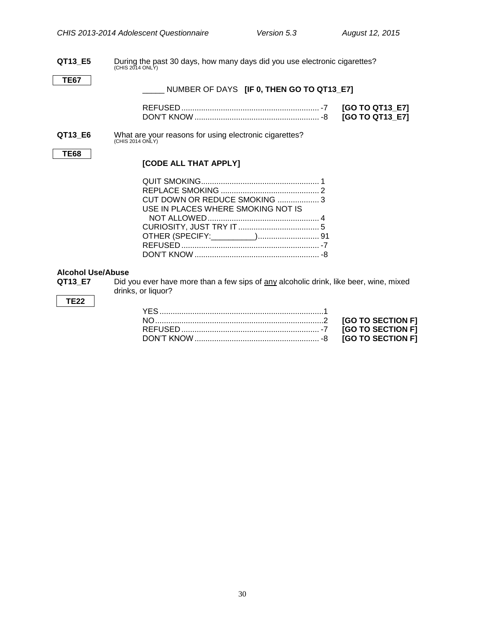# **QT13\_E5** During the past 30 days, how many days did you use electronic cigarettes?<br>
(CHIS 2014 ONLY)

## **TE67**

## \_\_\_\_\_ NUMBER OF DAYS **[IF 0, THEN GO TO QT13\_E7]**

# **QT13\_E6** What are your reasons for using electronic cigarettes?<br>
(CHIS 2014 ONLY)

#### **TE68**

## **[CODE ALL THAT APPLY]**

| CUT DOWN OR REDUCE SMOKING 3       |  |
|------------------------------------|--|
| USE IN PLACES WHERE SMOKING NOT IS |  |
|                                    |  |
|                                    |  |
|                                    |  |
|                                    |  |
|                                    |  |

# <span id="page-32-0"></span>**Alcohol Use/Abuse**

Did you ever have more than a few sips of any alcoholic drink, like beer, wine, mixed drinks, or liquor?

## **TE22**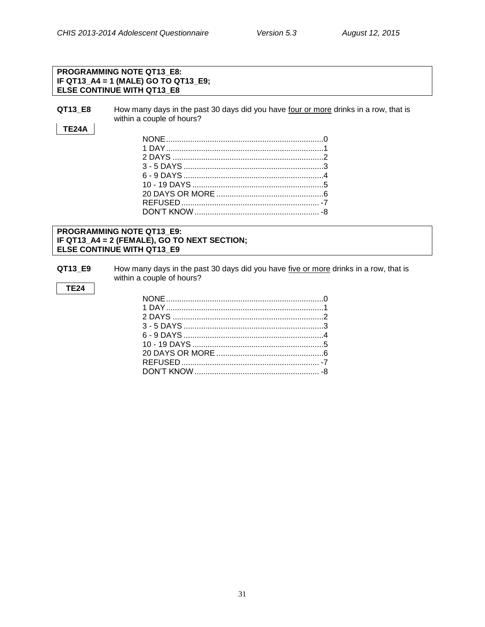## **PROGRAMMING NOTE QT13\_E8: IF QT13\_A4 = 1 (MALE) GO TO QT13\_E9; ELSE CONTINUE WITH QT13\_E8**

**QT13\_E8** How many days in the past 30 days did you have four or more drinks in a row, that is within a couple of hours?

## **TE24A**

## **PROGRAMMING NOTE QT13\_E9: IF QT13\_A4 = 2 (FEMALE), GO TO NEXT SECTION; ELSE CONTINUE WITH QT13\_E9**

**QT13\_E9** How many days in the past 30 days did you have five or more drinks in a row, that is within a couple of hours?

**TE24**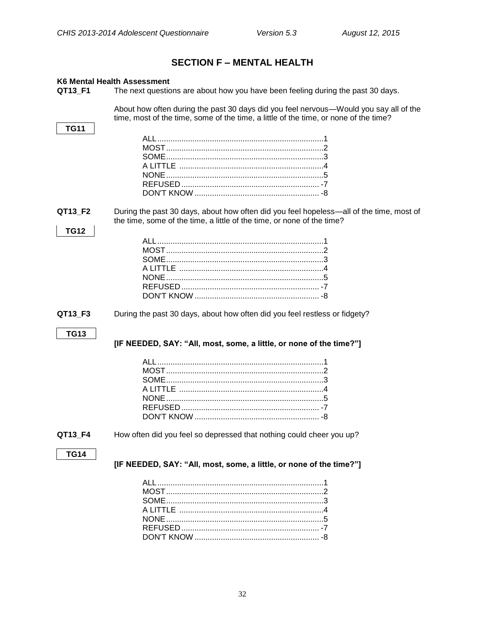## **SECTION F - MENTAL HEALTH**

## <span id="page-34-1"></span><span id="page-34-0"></span>K6 Mental Health Assessment

QT13\_F1 The next questions are about how you have been feeling during the past 30 days.

> About how often during the past 30 days did you feel nervous-Would you say all of the time, most of the time, some of the time, a little of the time, or none of the time?

## **TG11**

QT13\_F2 During the past 30 days, about how often did you feel hopeless—all of the time, most of the time, some of the time, a little of the time, or none of the time?

## **TG12**

QT13 F3 During the past 30 days, about how often did you feel restless or fidgety?

## **TG13**

## [IF NEEDED, SAY: "All, most, some, a little, or none of the time?"]

#### QT13\_F4 How often did you feel so depressed that nothing could cheer you up?

## **TG14**

[IF NEEDED, SAY: "All, most, some, a little, or none of the time?"]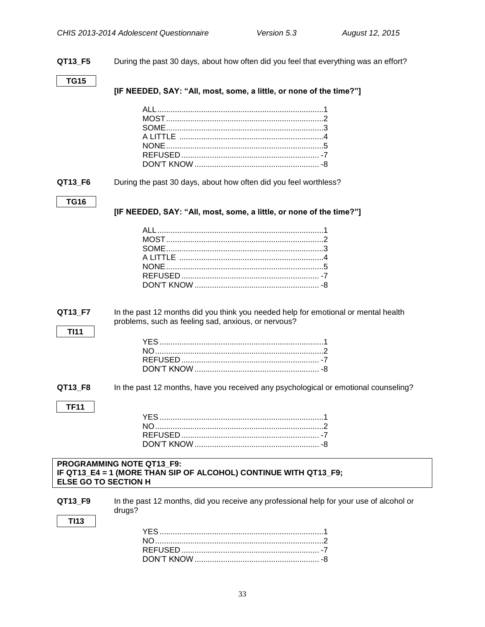**QT13\_F5** During the past 30 days, about how often did you feel that everything was an effort? **TG15 [IF NEEDED, SAY: "All, most, some, a little, or none of the time?"]** ALL............................................................................1 MOST........................................................................2 SOME........................................................................3 A LITTLE ..................................................................4 NONE........................................................................5 REFUSED ............................................................... -7 DON'T KNOW ......................................................... -8 **QT13\_F6** During the past 30 days, about how often did you feel worthless? **TG16 [IF NEEDED, SAY: "All, most, some, a little, or none of the time?"]** ALL............................................................................1 MOST........................................................................2 SOME........................................................................3 A LITTLE ..................................................................4 NONE........................................................................5 REFUSED ............................................................... -7 DON'T KNOW ......................................................... -8 **QT13\_F7** In the past 12 months did you think you needed help for emotional or mental health problems, such as feeling sad, anxious, or nervous? **TI11** YES...........................................................................1 NO.............................................................................2 REFUSED ............................................................... -7 DON'T KNOW......................................................... -8 **QT13\_F8** In the past 12 months, have you received any psychological or emotional counseling? **TF11** YES...........................................................................1 NO.............................................................................2 REFUSED ............................................................... -7 DON'T KNOW......................................................... -8 **PROGRAMMING NOTE QT13\_F9: IF QT13\_E4 = 1 (MORE THAN SIP OF ALCOHOL) CONTINUE WITH QT13\_F9; ELSE GO TO SECTION H QT13 F9** In the past 12 months, did you receive any professional help for your use of alcohol or drugs? **TI13** YES...........................................................................1 NO.............................................................................2 REFUSED ............................................................... -7 DON'T KNOW......................................................... -8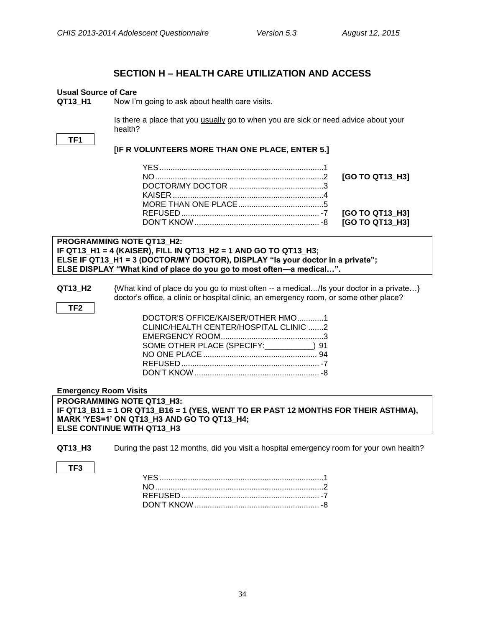## **SECTION H – HEALTH CARE UTILIZATION AND ACCESS**

## <span id="page-36-1"></span><span id="page-36-0"></span>**Usual Source of Care**

**QT13\_H1** Now I'm going to ask about health care visits.

Is there a place that you usually go to when you are sick or need advice about your health?

**TF1**

## **[IF R VOLUNTEERS MORE THAN ONE PLACE, ENTER 5.]**

**PROGRAMMING NOTE QT13\_H2: IF QT13\_H1 = 4 (KAISER), FILL IN QT13\_H2 = 1 AND GO TO QT13\_H3; ELSE IF QT13\_H1 = 3 (DOCTOR/MY DOCTOR), DISPLAY "Is your doctor in a private"; ELSE DISPLAY "What kind of place do you go to most often—a medical…".**

**QT13 H2** {What kind of place do you go to most often -- a medical.../Is your doctor in a private...} doctor's office, a clinic or hospital clinic, an emergency room, or some other place?

**TF2**

| DOCTOR'S OFFICE/KAISER/OTHER HMO1      |  |
|----------------------------------------|--|
| CLINIC/HEALTH CENTER/HOSPITAL CLINIC 2 |  |
|                                        |  |
| SOME OTHER PLACE (SPECIFY: 191) 91     |  |
|                                        |  |
|                                        |  |
|                                        |  |

## <span id="page-36-2"></span>**Emergency Room Visits**

**PROGRAMMING NOTE QT13\_H3: IF QT13\_B11 = 1 OR QT13\_B16 = 1 (YES, WENT TO ER PAST 12 MONTHS FOR THEIR ASTHMA), MARK 'YES=1' ON QT13\_H3 AND GO TO QT13\_H4; ELSE CONTINUE WITH QT13\_H3**

- **QT13\_H3** During the past 12 months, did you visit a hospital emergency room for your own health?
- **TF3**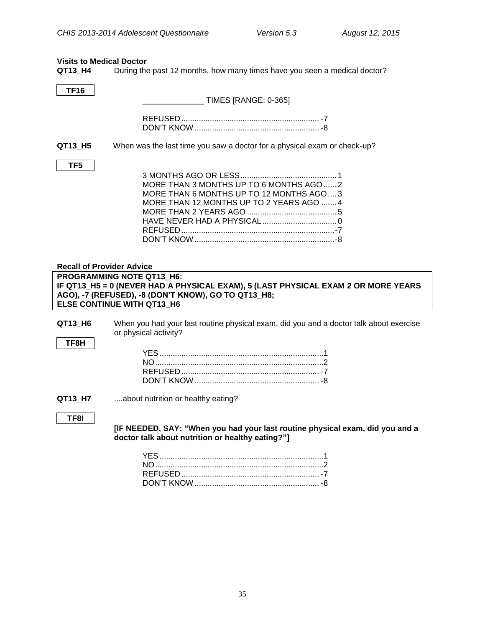<span id="page-37-0"></span>**Visits to Medical Doctor<br>QT13\_H4** During the During the past 12 months, how many times have you seen a medical doctor?

<span id="page-37-1"></span>

| <b>TF16</b>                      |                                                                                                                                                                                                            |
|----------------------------------|------------------------------------------------------------------------------------------------------------------------------------------------------------------------------------------------------------|
|                                  | TIMES [RANGE: 0-365]                                                                                                                                                                                       |
|                                  |                                                                                                                                                                                                            |
| QT13 H5                          | When was the last time you saw a doctor for a physical exam or check-up?                                                                                                                                   |
| TF5                              | MORE THAN 3 MONTHS UP TO 6 MONTHS AGO  2<br>MORE THAN 6 MONTHS UP TO 12 MONTHS AGO3<br>MORE THAN 12 MONTHS UP TO 2 YEARS AGO  4                                                                            |
| <b>Recall of Provider Advice</b> |                                                                                                                                                                                                            |
|                                  | PROGRAMMING NOTE QT13 H6:<br>IF QT13_H5 = 0 (NEVER HAD A PHYSICAL EXAM), 5 (LAST PHYSICAL EXAM 2 OR MORE YEARS<br>AGO), -7 (REFUSED), -8 (DON'T KNOW), GO TO QT13_H8;<br><b>ELSE CONTINUE WITH QT13 H6</b> |
| QT13 H6<br>TF8H                  | When you had your last routine physical exam, did you and a doctor talk about exercise<br>or physical activity?                                                                                            |
| QT13_H7                          | about nutrition or healthy eating?                                                                                                                                                                         |
| TF8I                             | [IF NEEDED, SAY: "When you had your last routine physical exam, did you and a<br>doctor talk about nutrition or healthy eating?"]                                                                          |
|                                  |                                                                                                                                                                                                            |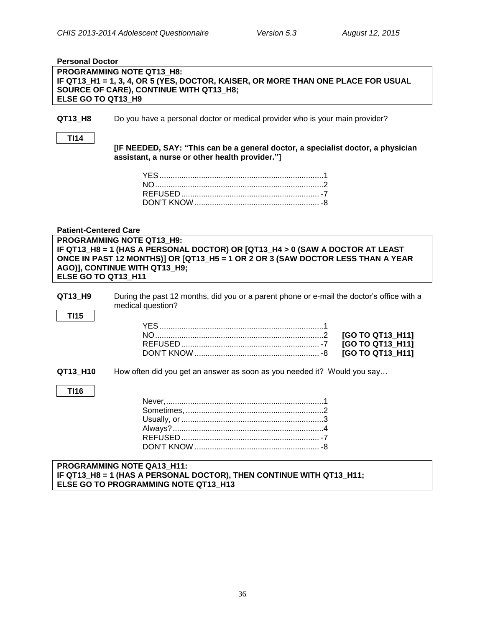<span id="page-38-1"></span><span id="page-38-0"></span>

| <b>Personal Doctor</b>                                                                                                                                                                                                                                |                                                                                                                                                                  |                                                          |  |
|-------------------------------------------------------------------------------------------------------------------------------------------------------------------------------------------------------------------------------------------------------|------------------------------------------------------------------------------------------------------------------------------------------------------------------|----------------------------------------------------------|--|
| ELSE GO TO QT13 H9                                                                                                                                                                                                                                    | <b>PROGRAMMING NOTE QT13 H8:</b><br>IF QT13_H1 = 1, 3, 4, OR 5 (YES, DOCTOR, KAISER, OR MORE THAN ONE PLACE FOR USUAL<br>SOURCE OF CARE), CONTINUE WITH QT13_H8; |                                                          |  |
| QT13_H8                                                                                                                                                                                                                                               | Do you have a personal doctor or medical provider who is your main provider?                                                                                     |                                                          |  |
| <b>TI14</b>                                                                                                                                                                                                                                           | [IF NEEDED, SAY: "This can be a general doctor, a specialist doctor, a physician<br>assistant, a nurse or other health provider."]                               |                                                          |  |
|                                                                                                                                                                                                                                                       |                                                                                                                                                                  |                                                          |  |
| <b>Patient-Centered Care</b>                                                                                                                                                                                                                          |                                                                                                                                                                  |                                                          |  |
| PROGRAMMING NOTE QT13 H9:<br>IF QT13_H8 = 1 (HAS A PERSONAL DOCTOR) OR [QT13_H4 > 0 (SAW A DOCTOR AT LEAST<br>ONCE IN PAST 12 MONTHS)] OR [QT13_H5 = 1 OR 2 OR 3 (SAW DOCTOR LESS THAN A YEAR<br>AGO)], CONTINUE WITH QT13_H9;<br>ELSE GO TO QT13 H11 |                                                                                                                                                                  |                                                          |  |
| QT13_H9<br><b>TI15</b>                                                                                                                                                                                                                                | During the past 12 months, did you or a parent phone or e-mail the doctor's office with a<br>medical question?                                                   |                                                          |  |
|                                                                                                                                                                                                                                                       |                                                                                                                                                                  | [GO TO QT13_H11]<br>[GO TO QT13_H11]<br>[GO TO QT13_H11] |  |
| QT13_H10                                                                                                                                                                                                                                              | How often did you get an answer as soon as you needed it? Would you say                                                                                          |                                                          |  |
| <b>TI16</b>                                                                                                                                                                                                                                           |                                                                                                                                                                  |                                                          |  |
|                                                                                                                                                                                                                                                       | Sometimes.                                                                                                                                                       |                                                          |  |
|                                                                                                                                                                                                                                                       | PROGRAMMING NOTE QA13_H11:<br>IF QT13_H8 = 1 (HAS A PERSONAL DOCTOR), THEN CONTINUE WITH QT13_H11;<br>ELSE GO TO PROGRAMMING NOTE QT13_H13                       |                                                          |  |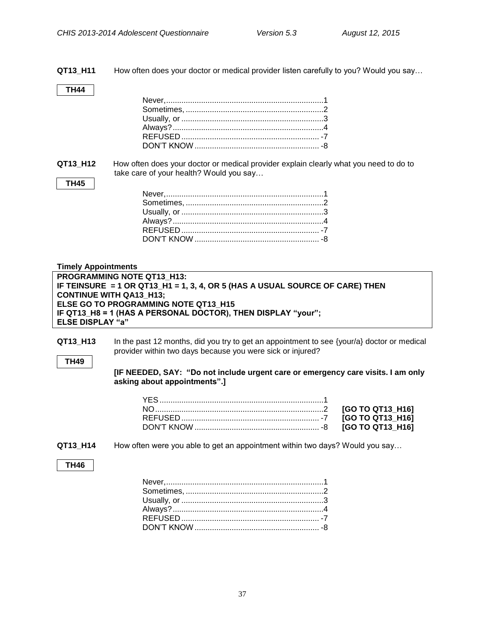**QT13\_H11** How often does your doctor or medical provider listen carefully to you? Would you say…

## **TH44**

**QT13\_H12** How often does your doctor or medical provider explain clearly what you need to do to take care of your health? Would you say...

## **TH45**

## <span id="page-39-0"></span>**Timely Appointments**

| <b>PROGRAMMING NOTE QT13 H13:</b>                                            |
|------------------------------------------------------------------------------|
| IF TEINSURE = 1 OR QT13 H1 = 1, 3, 4, OR 5 (HAS A USUAL SOURCE OF CARE) THEN |
| <b>CONTINUE WITH QA13 H13:</b>                                               |
| ELSE GO TO PROGRAMMING NOTE QT13 H15                                         |
| IF QT13 H8 = 1 (HAS A PERSONAL DOCTOR), THEN DISPLAY "your";                 |
| <b>ELSE DISPLAY "a"</b>                                                      |

**QT13\_H13** In the past 12 months, did you try to get an appointment to see {your/a} doctor or medical provider within two days because you were sick or injured?

## **TH49**

**[IF NEEDED, SAY: "Do not include urgent care or emergency care visits. I am only asking about appointments".]**

**QT13\_H14** How often were you able to get an appointment within two days? Would you say…

## <span id="page-39-1"></span>**TH46**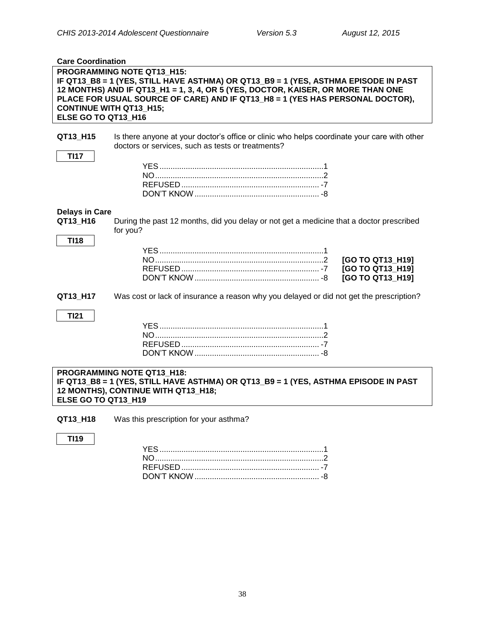<span id="page-40-0"></span>

| <b>Care Coordination</b> |                                                                                             |
|--------------------------|---------------------------------------------------------------------------------------------|
|                          | PROGRAMMING NOTE QT13_H15:                                                                  |
|                          | IF QT13_B8 = 1 (YES, STILL HAVE ASTHMA) OR QT13_B9 = 1 (YES, ASTHMA EPISODE IN PAST         |
|                          | 12 MONTHS) AND IF QT13_H1 = 1, 3, 4, OR 5 (YES, DOCTOR, KAISER, OR MORE THAN ONE            |
|                          | PLACE FOR USUAL SOURCE OF CARE) AND IF QT13 H8 = 1 (YES HAS PERSONAL DOCTOR),               |
|                          |                                                                                             |
|                          | <b>CONTINUE WITH QT13 H15;</b>                                                              |
| ELSE GO TO QT13 H16      |                                                                                             |
|                          |                                                                                             |
| QT13_H15                 | Is there anyone at your doctor's office or clinic who helps coordinate your care with other |
|                          | doctors or services, such as tests or treatments?                                           |
| <b>TI17</b>              |                                                                                             |
|                          |                                                                                             |
|                          |                                                                                             |
|                          |                                                                                             |
|                          |                                                                                             |
|                          |                                                                                             |
|                          |                                                                                             |
| <b>Delays in Care</b>    |                                                                                             |
| QT13 H16                 | During the past 12 months, did you delay or not get a medicine that a doctor prescribed     |
|                          | for you?                                                                                    |
| <b>TI18</b>              |                                                                                             |
|                          |                                                                                             |
|                          | [GO TO QT13 H19]                                                                            |
|                          | [GO TO QT13 H19]                                                                            |
|                          |                                                                                             |
|                          | [GO TO QT13 H19]                                                                            |
|                          |                                                                                             |
| QT13_H17                 | Was cost or lack of insurance a reason why you delayed or did not get the prescription?     |
|                          |                                                                                             |
| <b>TI21</b>              |                                                                                             |
|                          |                                                                                             |
|                          |                                                                                             |
|                          |                                                                                             |
|                          |                                                                                             |
|                          |                                                                                             |
|                          | PROGRAMMING NOTE QT13 H18:                                                                  |
|                          |                                                                                             |
|                          | IF QT13_B8 = 1 (YES, STILL HAVE ASTHMA) OR QT13_B9 = 1 (YES, ASTHMA EPISODE IN PAST         |
|                          | 12 MONTHS), CONTINUE WITH QT13_H18;                                                         |
| ELSE GO TO QT13 H19      |                                                                                             |
|                          |                                                                                             |

**QT13\_H18** Was this prescription for your asthma?

## **TI19**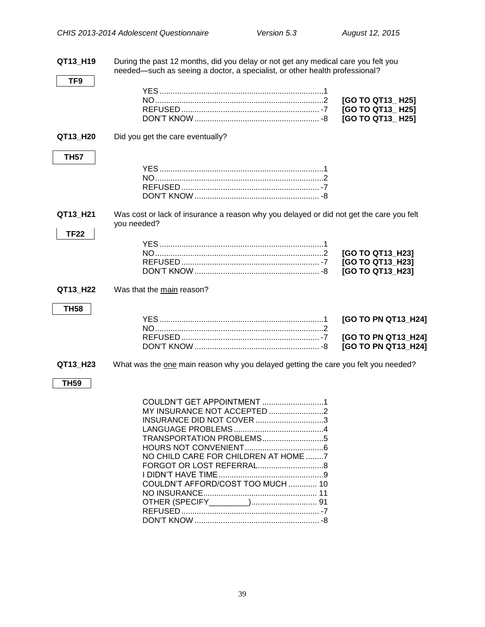**QT13\_H19** During the past 12 months, did you delay or not get any medical care you felt you needed—such as seeing a doctor, a specialist, or other health professional? **TF9** YES...........................................................................1 NO.............................................................................2 **[GO TO QT13\_ H25]** REFUSED ............................................................... -7 **[GO TO QT13\_ H25]** DON'T KNOW......................................................... -8 **[GO TO QT13\_ H25] QT13 H20** Did you get the care eventually? **TH57** YES...........................................................................1 NO.............................................................................2 REFUSED ............................................................... -7 DON'T KNOW ......................................................... -8 **QT13\_H21** Was cost or lack of insurance a reason why you delayed or did not get the care you felt you needed? **TF22** YES...........................................................................1 NO.............................................................................2 **[GO TO QT13\_H23]** REFUSED ............................................................... -7 **[GO TO QT13\_H23]** DON'T KNOW......................................................... -8 **[GO TO QT13\_H23] QT13 H22** Was that the main reason? **TH58** YES...........................................................................1 **[GO TO PN QT13\_H24]** NO.............................................................................2 REFUSED ............................................................... -7 **[GO TO PN QT13\_H24]** DON'T KNOW ......................................................... -8 **[GO TO PN QT13\_H24] QT13 H23** What was the one main reason why you delayed getting the care you felt you needed? **TH59** COULDN'T GET APPOINTMENT ............................1 MY INSURANCE NOT ACCEPTED .........................2 INSURANCE DID NOT COVER ...............................3 LANGUAGE PROBLEMS.........................................4 TRANSPORTATION PROBLEMS............................5 HOURS NOT CONVENIENT....................................6 NO CHILD CARE FOR CHILDREN AT HOME ........7 FORGOT OR LOST REFERRAL..............................8 I DIDN'T HAVE TIME................................................9 COULDN'T AFFORD/COST TOO MUCH ............. 10 NO INSURANCE.................................................... 11 OTHER (SPECIFY\_\_\_\_\_\_\_\_\_).............................. 91 REFUSED ............................................................... -7 DON'T KNOW ......................................................... -8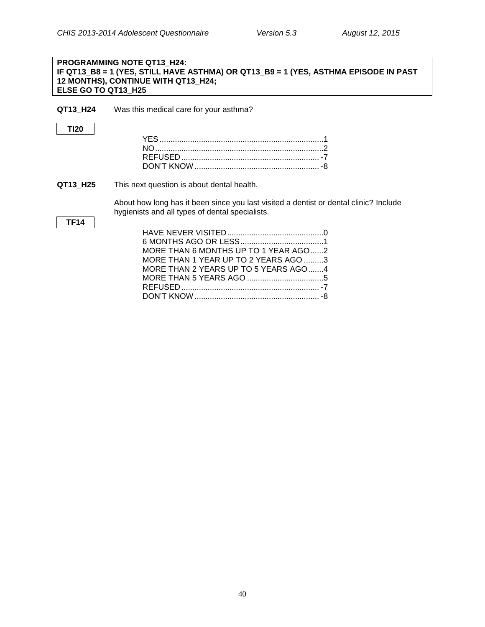## **PROGRAMMING NOTE QT13\_H24: IF QT13\_B8 = 1 (YES, STILL HAVE ASTHMA) OR QT13\_B9 = 1 (YES, ASTHMA EPISODE IN PAST 12 MONTHS), CONTINUE WITH QT13\_H24; ELSE GO TO QT13\_H25**

**QT13\_H24** Was this medical care for your asthma?

## **TI20**

**QT13\_H25** This next question is about dental health.

About how long has it been since you last visited a dentist or dental clinic? Include hygienists and all types of dental specialists.

## **TF14**

| MORE THAN 6 MONTHS UP TO 1 YEAR AGO2 |  |
|--------------------------------------|--|
| MORE THAN 1 YEAR UP TO 2 YEARS AGO 3 |  |
| MORE THAN 2 YEARS UP TO 5 YEARS AGO4 |  |
|                                      |  |
|                                      |  |
|                                      |  |
|                                      |  |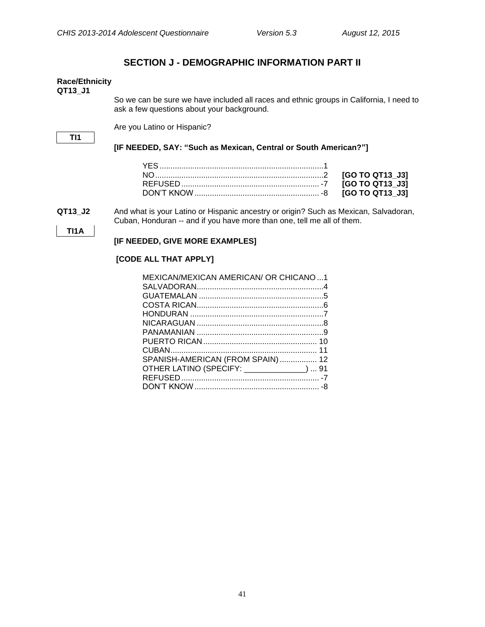## **SECTION J - DEMOGRAPHIC INFORMATION PART II**

#### <span id="page-43-1"></span><span id="page-43-0"></span>**Race/Ethnicity QT13\_J1**

So we can be sure we have included all races and ethnic groups in California, I need to ask a few questions about your background.

Are you Latino or Hispanic?

**TI1**

## **[IF NEEDED, SAY: "Such as Mexican, Central or South American?"]**

**QT13\_J2** And what is your Latino or Hispanic ancestry or origin? Such as Mexican, Salvadoran, Cuban, Honduran -- and if you have more than one, tell me all of them.

## **TI1A**

## **[IF NEEDED, GIVE MORE EXAMPLES]**

## **[CODE ALL THAT APPLY]**

| MEXICAN/MEXICAN AMERICAN/ OR CHICANO1     |
|-------------------------------------------|
|                                           |
|                                           |
|                                           |
|                                           |
|                                           |
|                                           |
|                                           |
|                                           |
| SPANISH-AMERICAN (FROM SPAIN) 12          |
| OTHER LATINO (SPECIFY: _____________)  91 |
|                                           |
|                                           |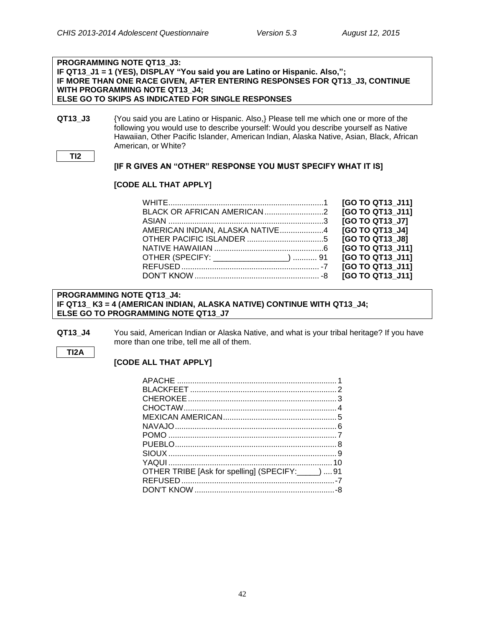## **PROGRAMMING NOTE QT13\_J3: IF QT13\_J1 = 1 (YES), DISPLAY "You said you are Latino or Hispanic. Also,"; IF MORE THAN ONE RACE GIVEN, AFTER ENTERING RESPONSES FOR QT13\_J3, CONTINUE WITH PROGRAMMING NOTE QT13\_J4; ELSE GO TO SKIPS AS INDICATED FOR SINGLE RESPONSES**

**QT13 J3** {You said you are Latino or Hispanic. Also,} Please tell me which one or more of the following you would use to describe yourself: Would you describe yourself as Native Hawaiian, Other Pacific Islander, American Indian, Alaska Native, Asian, Black, African American, or White?

**TI2**

## **[IF R GIVES AN "OTHER" RESPONSE YOU MUST SPECIFY WHAT IT IS]**

## **[CODE ALL THAT APPLY]**

|                                        | [GO TO QT13 J11] |
|----------------------------------------|------------------|
|                                        | [GO TO QT13 J11] |
|                                        | [GO TO QT13 J7]  |
| AMERICAN INDIAN, ALASKA NATIVE4        | [GO TO QT13 J4]  |
|                                        | [GO TO QT13 J8]  |
|                                        | [GO TO QT13 J11] |
| OTHER (SPECIFY: _________________)  91 | [GO TO QT13 J11] |
|                                        | [GO TO QT13 J11] |
|                                        | [GO TO QT13 J11] |

## **PROGRAMMING NOTE QT13\_J4: IF QT13\_ K3 = 4 (AMERICAN INDIAN, ALASKA NATIVE) CONTINUE WITH QT13\_J4; ELSE GO TO PROGRAMMING NOTE QT13\_J7**

**QT13 J4** You said, American Indian or Alaska Native, and what is your tribal heritage? If you have more than one tribe, tell me all of them.

## **TI2A**

## **[CODE ALL THAT APPLY]**

| OTHER TRIBE [Ask for spelling] (SPECIFY: _____)  91 |  |
|-----------------------------------------------------|--|
|                                                     |  |
|                                                     |  |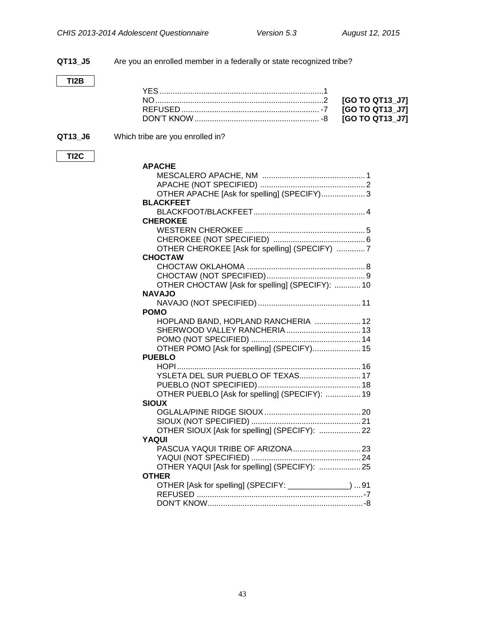**QT13\_J5** Are you an enrolled member in a federally or state recognized tribe? **TI2B** YES...........................................................................1 NO.............................................................................2 **[GO TO QT13\_J7]** REFUSED ............................................................... -7 **[GO TO QT13\_J7]** DON'T KNOW......................................................... -8 **[GO TO QT13\_J7] QT13 J6** Which tribe are you enrolled in? **TI2C APACHE** MESCALERO APACHE, NM ............................................... 1 APACHE (NOT SPECIFIED) ................................................ 2 OTHER APACHE [Ask for spelling] (SPECIFY).................... 3 **BLACKFEET** BLACKFOOT/BLACKFEET................................................... 4 **CHEROKEE** WESTERN CHEROKEE ....................................................... 5 CHEROKEE (NOT SPECIFIED) .......................................... 6 OTHER CHEROKEE [Ask for spelling] (SPECIFY) ............. 7 **CHOCTAW** CHOCTAW OKLAHOMA ...................................................... 8 CHOCTAW (NOT SPECIFIED)............................................. 9 OTHER CHOCTAW [Ask for spelling] (SPECIFY): ............ 10 **NAVAJO** NAVAJO (NOT SPECIFIED)............................................... 11 **POMO** HOPLAND BAND, HOPLAND RANCHERIA ..................... 12 SHERWOOD VALLEY RANCHERIA.................................. 13 POMO (NOT SPECIFIED) .................................................. 14 OTHER POMO [Ask for spelling] (SPECIFY)...................... 15 **PUEBLO** HOPI.................................................................................... 16 YSLETA DEL SUR PUEBLO OF TEXAS............................ 17 PUEBLO (NOT SPECIFIED)............................................... 18 OTHER PUEBLO [Ask for spelling] (SPECIFY): ................ 19 **SIOUX** OGLALA/PINE RIDGE SIOUX............................................ 20 SIOUX (NOT SPECIFIED) .................................................. 21 OTHER SIOUX [Ask for spelling] (SPECIFY): ................... 22 **YAQUI** PASCUA YAQUI TRIBE OF ARIZONA............................... 23 YAQUI (NOT SPECIFIED) .................................................. 24 OTHER YAQUI [Ask for spelling] (SPECIFY): ................... 25 **OTHER** OTHER [Ask for spelling] (SPECIFY: \_\_\_\_\_\_\_\_\_\_\_\_\_\_) ... 91 REFUSED ............................................................................-7 DON'T KNOW.......................................................................-8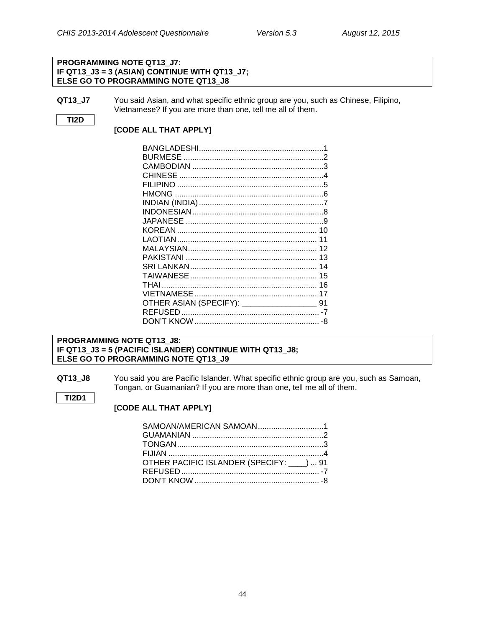## **PROGRAMMING NOTE QT13\_J7: IF QT13\_J3 = 3 (ASIAN) CONTINUE WITH QT13\_J7; ELSE GO TO PROGRAMMING NOTE QT13\_J8**

**QT13\_J7** You said Asian, and what specific ethnic group are you, such as Chinese, Filipino, Vietnamese? If you are more than one, tell me all of them.

## **TI2D**

**TI2D1**

## **[CODE ALL THAT APPLY]**

| CHINESE                                 |    |
|-----------------------------------------|----|
|                                         |    |
|                                         |    |
|                                         |    |
|                                         |    |
|                                         |    |
|                                         |    |
|                                         | 11 |
|                                         | 12 |
|                                         | 13 |
|                                         | 14 |
|                                         | 15 |
|                                         | 16 |
|                                         | 17 |
| OTHER ASIAN (SPECIFY): ________________ | 91 |
|                                         |    |
|                                         | -8 |

## **PROGRAMMING NOTE QT13\_J8: IF QT13\_J3 = 5 (PACIFIC ISLANDER) CONTINUE WITH QT13\_J8; ELSE GO TO PROGRAMMING NOTE QT13\_J9**

**QT13\_J8** You said you are Pacific Islander. What specific ethnic group are you, such as Samoan, Tongan, or Guamanian? If you are more than one, tell me all of them.

## **[CODE ALL THAT APPLY]**

| SAMOAN/AMERICAN SAMOAN1               |
|---------------------------------------|
|                                       |
|                                       |
|                                       |
| OTHER PACIFIC ISLANDER (SPECIFY: ) 91 |
|                                       |
|                                       |
|                                       |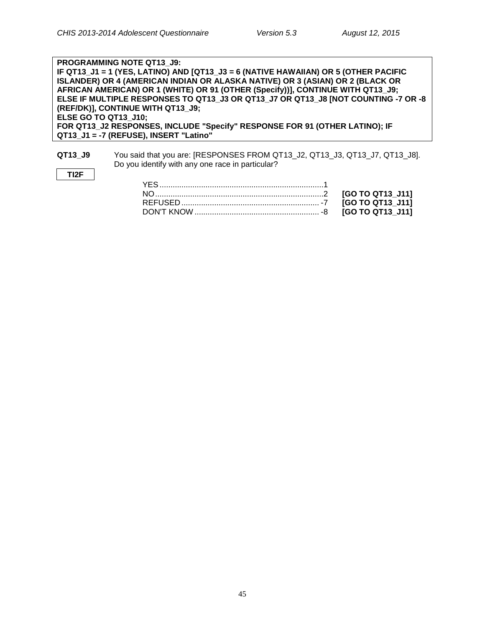**TI2F**

**PROGRAMMING NOTE QT13\_J9: IF QT13\_J1 = 1 (YES, LATINO) AND [QT13\_J3 = 6 (NATIVE HAWAIIAN) OR 5 (OTHER PACIFIC ISLANDER) OR 4 (AMERICAN INDIAN OR ALASKA NATIVE) OR 3 (ASIAN) OR 2 (BLACK OR AFRICAN AMERICAN) OR 1 (WHITE) OR 91 (OTHER (Specify))], CONTINUE WITH QT13\_J9; ELSE IF MULTIPLE RESPONSES TO QT13\_J3 OR QT13\_J7 OR QT13\_J8 [NOT COUNTING -7 OR -8 (REF/DK)], CONTINUE WITH QT13\_J9; ELSE GO TO QT13\_J10; FOR QT13\_J2 RESPONSES, INCLUDE "Specify" RESPONSE FOR 91 (OTHER LATINO); IF QT13\_J1 = -7 (REFUSE), INSERT "Latino"**

**QT13\_J9** You said that you are: [RESPONSES FROM QT13\_J2, QT13\_J3, QT13\_J7, QT13\_J8]. Do you identify with any one race in particular?

## YES...........................................................................1 NO.............................................................................2 **[GO TO QT13\_J11]** REFUSED ............................................................... -7 **[GO TO QT13\_J11]** DON'T KNOW ......................................................... -8 **[GO TO QT13\_J11]**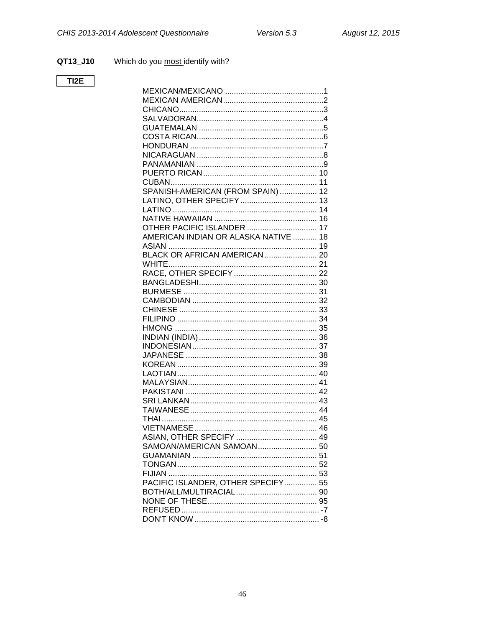#### QT13\_J10 Which do you most identify with?

## $TI2E$

| SPANISH-AMERICAN (FROM SPAIN)  12    |  |
|--------------------------------------|--|
|                                      |  |
|                                      |  |
|                                      |  |
| OTHER PACIFIC ISLANDER  17           |  |
| AMERICAN INDIAN OR ALASKA NATIVE  18 |  |
|                                      |  |
|                                      |  |
|                                      |  |
|                                      |  |
|                                      |  |
|                                      |  |
|                                      |  |
|                                      |  |
|                                      |  |
|                                      |  |
|                                      |  |
|                                      |  |
|                                      |  |
|                                      |  |
|                                      |  |
|                                      |  |
|                                      |  |
|                                      |  |
|                                      |  |
|                                      |  |
|                                      |  |
|                                      |  |
|                                      |  |
|                                      |  |
|                                      |  |
|                                      |  |
|                                      |  |
| PACIFIC ISLANDER, OTHER SPECIFY 55   |  |
|                                      |  |
|                                      |  |
|                                      |  |
|                                      |  |
|                                      |  |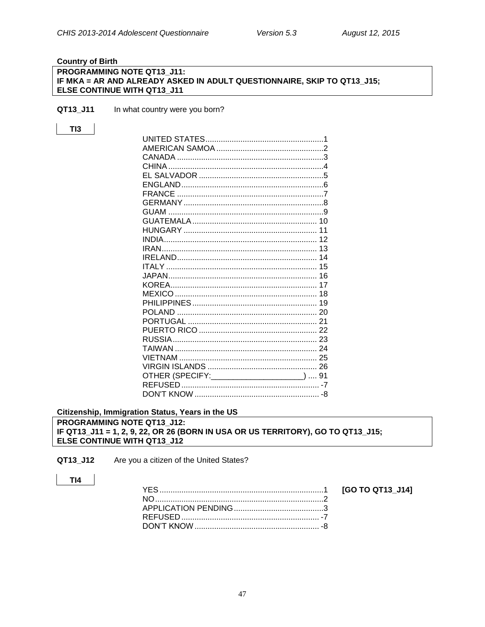## <span id="page-49-0"></span>**Country of Birth PROGRAMMING NOTE QT13\_J11:** IF MKA = AR AND ALREADY ASKED IN ADULT QUESTIONNAIRE, SKIP TO QT13\_J15; ELSE CONTINUE WITH QT13 J11

QT13\_J11 In what country were you born?

| ., |
|----|
|    |

| OTHER (SPECIFY: _______________________)  91 |  |
|----------------------------------------------|--|
|                                              |  |
|                                              |  |
|                                              |  |

<span id="page-49-1"></span>Citizenship, Immigration Status, Years in the US PROGRAMMING NOTE QT13\_J12: IF QT13\_J11 = 1, 2, 9, 22, OR 26 (BORN IN USA OR US TERRITORY), GO TO QT13\_J15; ELSE CONTINUE WITH QT13\_J12

Are you a citizen of the United States? QT13\_J12

## $TI4$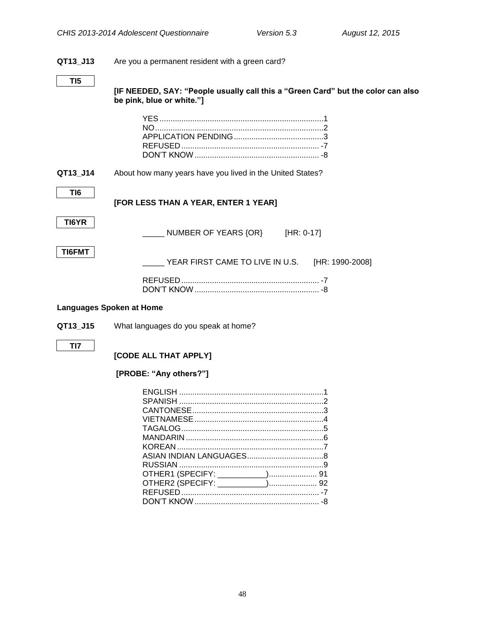## **QT13\_J13** Are you a permanent resident with a green card?

**[IF NEEDED, SAY: "People usually call this a "Green Card" but the color can also be pink, blue or white."]**

**QT13\_J14** About how many years have you lived in the United States?

**[FOR LESS THAN A YEAR, ENTER 1 YEAR]**

**TI6**

NUMBER OF YEARS {OR} [HR: 0-17]

**TI6FMT**

YEAR FIRST CAME TO LIVE IN U.S. [HR: 1990-2008]

#### <span id="page-50-0"></span>**Languages Spoken at Home**

**QT13\_J15** What languages do you speak at home?

**TI7**

## **[CODE ALL THAT APPLY]**

## **[PROBE: "Any others?"]**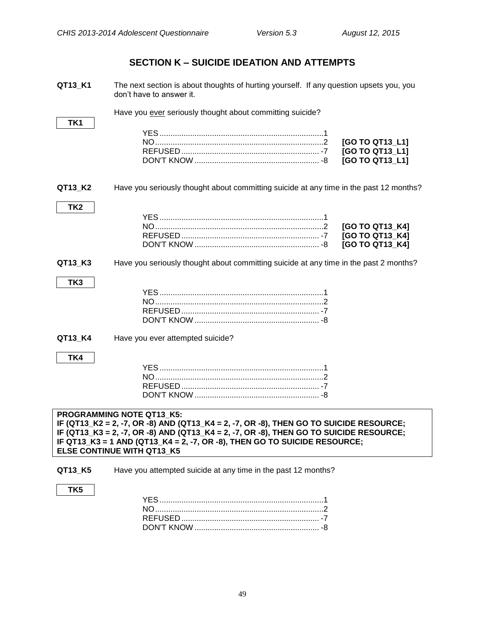## **SECTION K – SUICIDE IDEATION AND ATTEMPTS**

<span id="page-51-0"></span>

| QT13_K1                                                                                                                                                                                                                                                                                                                                | The next section is about thoughts of hurting yourself. If any question upsets you, you<br>don't have to answer it. |  |
|----------------------------------------------------------------------------------------------------------------------------------------------------------------------------------------------------------------------------------------------------------------------------------------------------------------------------------------|---------------------------------------------------------------------------------------------------------------------|--|
|                                                                                                                                                                                                                                                                                                                                        | Have you ever seriously thought about committing suicide?                                                           |  |
| TK1                                                                                                                                                                                                                                                                                                                                    | [GO TO QT13_L1]<br>[GO TO QT13_L1]<br>[GO TO QT13_L1]                                                               |  |
| QT13_K2                                                                                                                                                                                                                                                                                                                                | Have you seriously thought about committing suicide at any time in the past 12 months?                              |  |
| TK <sub>2</sub>                                                                                                                                                                                                                                                                                                                        | [GO TO QT13_K4]<br>[GO TO QT13_K4]<br>[GO TO QT13 K4]                                                               |  |
| QT13_K3                                                                                                                                                                                                                                                                                                                                | Have you seriously thought about committing suicide at any time in the past 2 months?                               |  |
| TK3                                                                                                                                                                                                                                                                                                                                    |                                                                                                                     |  |
| QT13_K4                                                                                                                                                                                                                                                                                                                                | Have you ever attempted suicide?                                                                                    |  |
| TK4                                                                                                                                                                                                                                                                                                                                    |                                                                                                                     |  |
| <b>PROGRAMMING NOTE QT13 K5:</b><br>IF (QT13_K2 = 2, -7, OR -8) AND (QT13_K4 = 2, -7, OR -8), THEN GO TO SUICIDE RESOURCE;<br>IF (QT13_K3 = 2, -7, OR -8) AND (QT13_K4 = 2, -7, OR -8), THEN GO TO SUICIDE RESOURCE;<br>IF QT13_K3 = 1 AND (QT13_K4 = 2, -7, OR -8), THEN GO TO SUICIDE RESOURCE;<br><b>ELSE CONTINUE WITH QT13_K5</b> |                                                                                                                     |  |
| QT13_K5                                                                                                                                                                                                                                                                                                                                | Have you attempted suicide at any time in the past 12 months?                                                       |  |
| TK <sub>5</sub>                                                                                                                                                                                                                                                                                                                        |                                                                                                                     |  |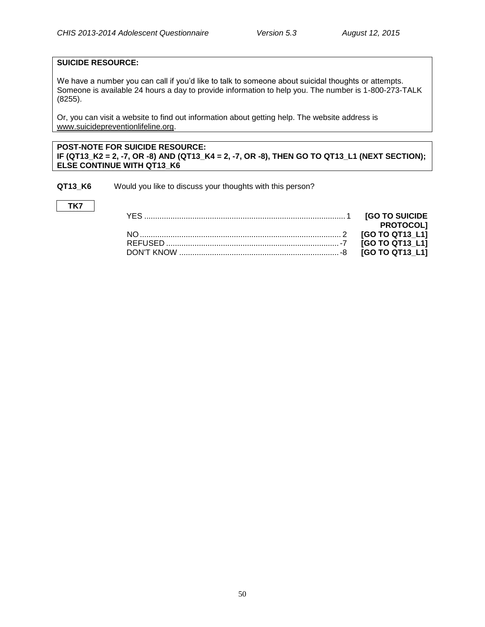## **SUICIDE RESOURCE:**

**TK7**

We have a number you can call if you'd like to talk to someone about suicidal thoughts or attempts. Someone is available 24 hours a day to provide information to help you. The number is 1-800-273-TALK (8255).

Or, you can visit a website to find out information about getting help. The website address is [www.suicidepreventionlifeline.org.](http://www.suicidepreventionlifeline.org/)

## **POST-NOTE FOR SUICIDE RESOURCE: IF (QT13\_K2 = 2, -7, OR -8) AND (QT13\_K4 = 2, -7, OR -8), THEN GO TO QT13\_L1 (NEXT SECTION); ELSE CONTINUE WITH QT13\_K6**

DON'T KNOW .........................................................................-8 **[GO TO QT13\_L1]**

**QT13\_K6** Would you like to discuss your thoughts with this person?

| <b>[GO TO SUICIDE</b>  |  |
|------------------------|--|
| <b>PROTOCOLI</b>       |  |
| <b>IGO TO QT13 L11</b> |  |

REFUSED ...............................................................................-7 **[GO TO QT13\_L1]**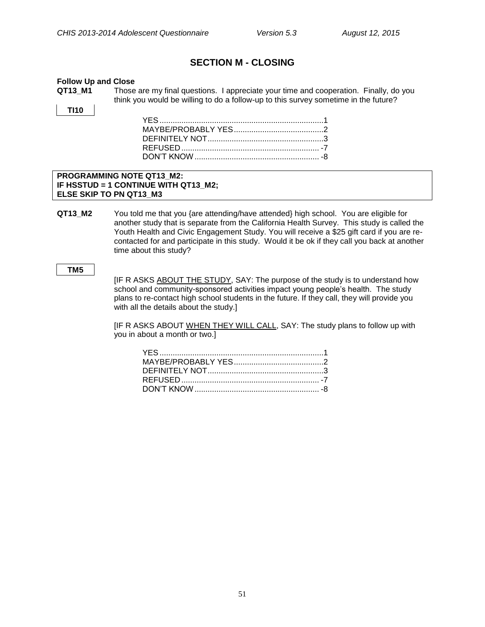## **SECTION M - CLOSING**

#### <span id="page-53-1"></span><span id="page-53-0"></span>**Follow Up and Close**

**QT13\_M1** Those are my final questions. I appreciate your time and cooperation. Finally, do you think you would be willing to do a follow-up to this survey sometime in the future?

**TI10**

## **PROGRAMMING NOTE QT13\_M2: IF HSSTUD = 1 CONTINUE WITH QT13\_M2; ELSE SKIP TO PN QT13\_M3**

**QT13\_M2** You told me that you {are attending/have attended} high school. You are eligible for another study that is separate from the California Health Survey. This study is called the Youth Health and Civic Engagement Study. You will receive a \$25 gift card if you are recontacted for and participate in this study. Would it be ok if they call you back at another time about this study?

#### **TM5**

[IF R ASKS ABOUT THE STUDY, SAY: The purpose of the study is to understand how school and community-sponsored activities impact young people's health. The study plans to re-contact high school students in the future. If they call, they will provide you with all the details about the study.]

[IF R ASKS ABOUT WHEN THEY WILL CALL, SAY: The study plans to follow up with you in about a month or two.]